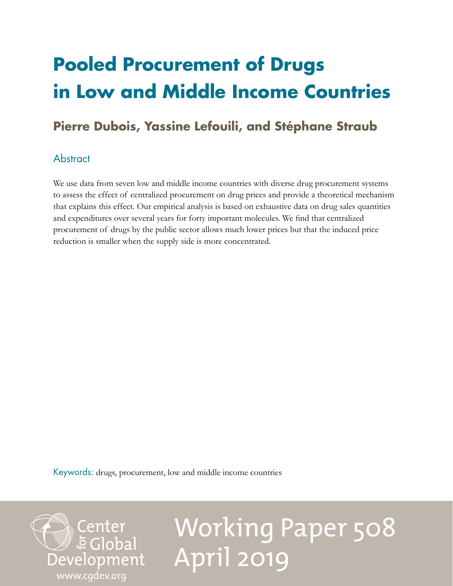## **Pooled Procurement of Drugs in Low and Middle Income Countries**

## **Pierre Dubois, Yassine Lefouili, and Stéphane Straub**

## **Abstract**

We use data from seven low and middle income countries with diverse drug procurement systems to assess the effect of centralized procurement on drug prices and provide a theoretical mechanism that explains this effect. Our empirical analysis is based on exhaustive data on drug sales quantities and expenditures over several years for forty important molecules. We find that centralized procurement of drugs by the public sector allows much lower prices but that the induced price reduction is smaller when the supply side is more concentrated.

Keywords: drugs, procurement, low and middle income countries



# Working Paper 508 April 2019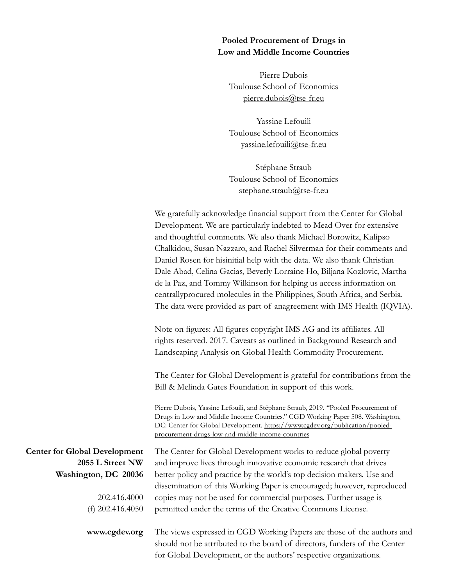#### **Pooled Procurement of Drugs in Low and Middle Income Countries**

Pierre Dubois Toulouse School of Economics [pierre.dubois@tse-fr.eu](mailto:pierre.dubois%40tse-fr.eu?subject=)

Yassine Lefouili Toulouse School of Economics [yassine.lefouili@tse-fr.eu](mailto:yassine.lefouili%40tse-fr.eu?subject=)

Stéphane Straub Toulouse School of Economics [stephane.straub@tse-fr.eu](mailto:stephane.straub%40tse-fr.eu?subject=)

We gratefully acknowledge financial support from the Center for Global Development. We are particularly indebted to Mead Over for extensive and thoughtful comments. We also thank Michael Borowitz, Kalipso Chalkidou, Susan Nazzaro, and Rachel Silverman for their comments and Daniel Rosen for hisinitial help with the data. We also thank Christian Dale Abad, Celina Gacias, Beverly Lorraine Ho, Biljana Kozlovic, Martha de la Paz, and Tommy Wilkinson for helping us access information on centrallyprocured molecules in the Philippines, South Africa, and Serbia. The data were provided as part of anagreement with IMS Health (IQVIA).

Note on figures: All figures copyright IMS AG and its affiliates. All rights reserved. 2017. Caveats as outlined in Background Research and Landscaping Analysis on Global Health Commodity Procurement.

The Center for Global Development is grateful for contributions from the Bill & Melinda Gates Foundation in support of this work.

Pierre Dubois, Yassine Lefouili, and Stéphane Straub, 2019. "Pooled Procurement of Drugs in Low and Middle Income Countries." CGD Working Paper 508. Washington, DC: Center for Global Development. [https://www.cgdev.org/publication/pooled](https://www.cgdev.org/publication/pooled-procurement-drugs-low-and-middle-income-countries)[procurement-drugs-low-and-middle-income-countries](https://www.cgdev.org/publication/pooled-procurement-drugs-low-and-middle-income-countries)

The Center for Global Development works to reduce global poverty and improve lives through innovative economic research that drives

**Center for Global Development 2055 L Street NW Washington, DC 20036**

> 202.416.4000 (f) 202.416.4050

**www.cgdev.org**

better policy and practice by the world's top decision makers. Use and dissemination of this Working Paper is encouraged; however, reproduced copies may not be used for commercial purposes. Further usage is permitted under the terms of the Creative Commons License.

The views expressed in CGD Working Papers are those of the authors and should not be attributed to the board of directors, funders of the Center for Global Development, or the authors' respective organizations.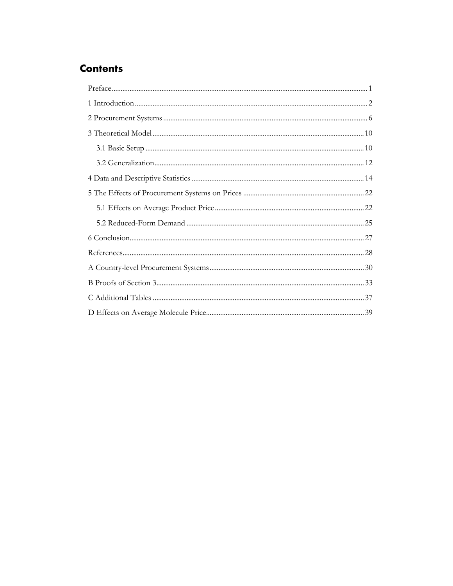## **Contents**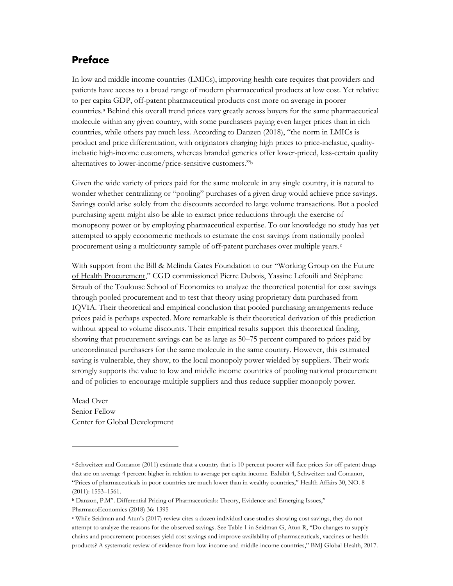### **Preface**

In low and middle income countries (LMICs), improving health care requires that providers and patients have access to a broad range of modern pharmaceutical products at low cost. Yet relative to per capita GDP, off-patent pharmaceutical products cost more on average in poorer countries.<sup>[a](#page-3-0)</sup> Behind this overall trend prices vary greatly across buyers for the same pharmaceutical molecule within any given country, with some purchasers paying even larger prices than in rich countries, while others pay much less. According to Danzen (2018), "the norm in LMICs is product and price differentiation, with originators charging high prices to price-inelastic, qualityinelastic high-income customers, whereas branded generics offer lower-priced, less-certain quality alternatives to lower-income/price-sensitive customers."[b](#page-3-1)

Given the wide variety of prices paid for the same molecule in any single country, it is natural to wonder whether centralizing or "pooling" purchases of a given drug would achieve price savings. Savings could arise solely from the discounts accorded to large volume transactions. But a pooled purchasing agent might also be able to extract price reductions through the exercise of monopsony power or by employing pharmaceutical expertise. To our knowledge no study has yet attempted to apply econometric methods to estimate the cost savings from nationally pooled procurement using a multicounty sample of off-patent purchases over multiple years.<sup>c</sup>

With support from the Bill & Melinda Gates Foundation to our "Working Group on the Future" [of Health Procurement,](https://www.cgdev.org/working-group/working-group-future-global-health-procurement)" CGD commissioned Pierre Dubois, Yassine Lefouili and Stéphane Straub of the Toulouse School of Economics to analyze the theoretical potential for cost savings through pooled procurement and to test that theory using proprietary data purchased from IQVIA. Their theoretical and empirical conclusion that pooled purchasing arrangements reduce prices paid is perhaps expected. More remarkable is their theoretical derivation of this prediction without appeal to volume discounts. Their empirical results support this theoretical finding, showing that procurement savings can be as large as 50–75 percent compared to prices paid by uncoordinated purchasers for the same molecule in the same country. However, this estimated saving is vulnerable, they show, to the local monopoly power wielded by suppliers. Their work strongly supports the value to low and middle income countries of pooling national procurement and of policies to encourage multiple suppliers and thus reduce supplier monopoly power.

Mead Over Senior Fellow Center for Global Development

 $\overline{a}$ 

<span id="page-3-0"></span><sup>a</sup> Schweitzer and Comanor (2011) estimate that a country that is 10 percent poorer will face prices for off-patent drugs that are on average 4 percent higher in relation to average per capita income. Exhibit 4, Schweitzer and Comanor, "Prices of pharmaceuticals in poor countries are much lower than in wealthy countries," Health Affairs 30, NO. 8 (2011): 1553–1561.

<span id="page-3-1"></span><sup>b</sup> Danzon, P.M". Differential Pricing of Pharmaceuticals: Theory, Evidence and Emerging Issues,"

PharmacoEconomics (2018) 36: 1395

<span id="page-3-2"></span><sup>c</sup> While Seidman and Atun's (2017) review cites a dozen individual case studies showing cost savings, they do not attempt to analyze the reasons for the observed savings. See Table 1 in Seidman G, Atun R, "Do changes to supply chains and procurement processes yield cost savings and improve availability of pharmaceuticals, vaccines or health products? A systematic review of evidence from low-income and middle-income countries," BMJ Global Health, 2017.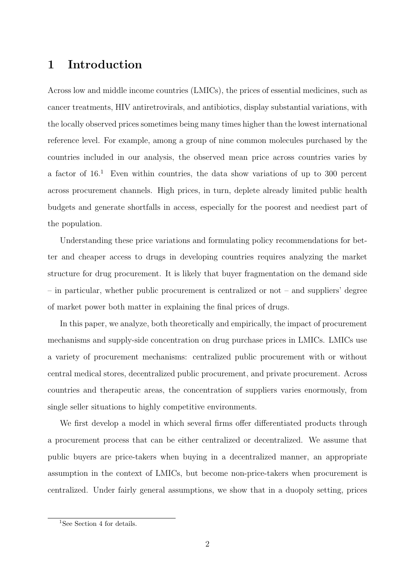## 1 Introduction

Across low and middle income countries (LMICs), the prices of essential medicines, such as cancer treatments, HIV antiretrovirals, and antibiotics, display substantial variations, with the locally observed prices sometimes being many times higher than the lowest international reference level. For example, among a group of nine common molecules purchased by the countries included in our analysis, the observed mean price across countries varies by a factor of  $16<sup>1</sup>$  Even within countries, the data show variations of up to 300 percent across procurement channels. High prices, in turn, deplete already limited public health budgets and generate shortfalls in access, especially for the poorest and neediest part of the population.

Understanding these price variations and formulating policy recommendations for better and cheaper access to drugs in developing countries requires analyzing the market structure for drug procurement. It is likely that buyer fragmentation on the demand side – in particular, whether public procurement is centralized or not – and suppliers' degree of market power both matter in explaining the final prices of drugs.

In this paper, we analyze, both theoretically and empirically, the impact of procurement mechanisms and supply-side concentration on drug purchase prices in LMICs. LMICs use a variety of procurement mechanisms: centralized public procurement with or without central medical stores, decentralized public procurement, and private procurement. Across countries and therapeutic areas, the concentration of suppliers varies enormously, from single seller situations to highly competitive environments.

We first develop a model in which several firms offer differentiated products through a procurement process that can be either centralized or decentralized. We assume that public buyers are price-takers when buying in a decentralized manner, an appropriate assumption in the context of LMICs, but become non-price-takers when procurement is centralized. Under fairly general assumptions, we show that in a duopoly setting, prices

<sup>&</sup>lt;sup>1</sup>See Section 4 for details.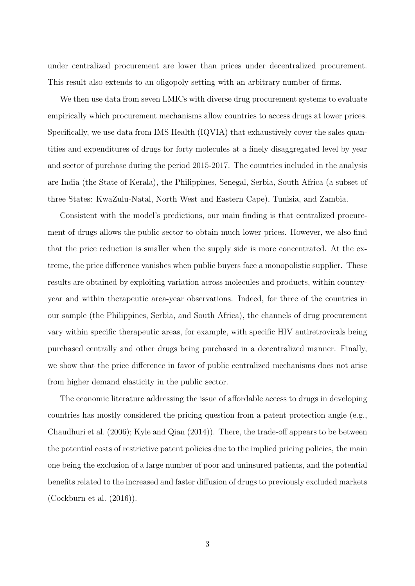under centralized procurement are lower than prices under decentralized procurement. This result also extends to an oligopoly setting with an arbitrary number of firms.

We then use data from seven LMICs with diverse drug procurement systems to evaluate empirically which procurement mechanisms allow countries to access drugs at lower prices. Specifically, we use data from IMS Health (IQVIA) that exhaustively cover the sales quantities and expenditures of drugs for forty molecules at a finely disaggregated level by year and sector of purchase during the period 2015-2017. The countries included in the analysis are India (the State of Kerala), the Philippines, Senegal, Serbia, South Africa (a subset of three States: KwaZulu-Natal, North West and Eastern Cape), Tunisia, and Zambia.

Consistent with the model's predictions, our main finding is that centralized procurement of drugs allows the public sector to obtain much lower prices. However, we also find that the price reduction is smaller when the supply side is more concentrated. At the extreme, the price difference vanishes when public buyers face a monopolistic supplier. These results are obtained by exploiting variation across molecules and products, within countryyear and within therapeutic area-year observations. Indeed, for three of the countries in our sample (the Philippines, Serbia, and South Africa), the channels of drug procurement vary within specific therapeutic areas, for example, with specific HIV antiretrovirals being purchased centrally and other drugs being purchased in a decentralized manner. Finally, we show that the price difference in favor of public centralized mechanisms does not arise from higher demand elasticity in the public sector.

The economic literature addressing the issue of affordable access to drugs in developing countries has mostly considered the pricing question from a patent protection angle (e.g., Chaudhuri et al. (2006); Kyle and Qian (2014)). There, the trade-off appears to be between the potential costs of restrictive patent policies due to the implied pricing policies, the main one being the exclusion of a large number of poor and uninsured patients, and the potential benefits related to the increased and faster diffusion of drugs to previously excluded markets (Cockburn et al. (2016)).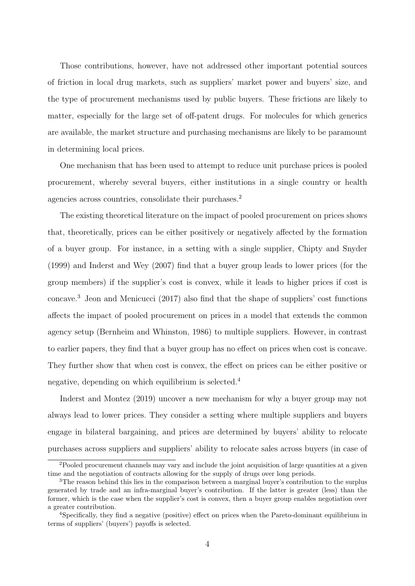Those contributions, however, have not addressed other important potential sources of friction in local drug markets, such as suppliers' market power and buyers' size, and the type of procurement mechanisms used by public buyers. These frictions are likely to matter, especially for the large set of off-patent drugs. For molecules for which generics are available, the market structure and purchasing mechanisms are likely to be paramount in determining local prices.

One mechanism that has been used to attempt to reduce unit purchase prices is pooled procurement, whereby several buyers, either institutions in a single country or health agencies across countries, consolidate their purchases.<sup>2</sup>

The existing theoretical literature on the impact of pooled procurement on prices shows that, theoretically, prices can be either positively or negatively affected by the formation of a buyer group. For instance, in a setting with a single supplier, Chipty and Snyder (1999) and Inderst and Wey (2007) find that a buyer group leads to lower prices (for the group members) if the supplier's cost is convex, while it leads to higher prices if cost is concave.<sup>3</sup> Jeon and Menicucci (2017) also find that the shape of suppliers' cost functions affects the impact of pooled procurement on prices in a model that extends the common agency setup (Bernheim and Whinston, 1986) to multiple suppliers. However, in contrast to earlier papers, they find that a buyer group has no effect on prices when cost is concave. They further show that when cost is convex, the effect on prices can be either positive or negative, depending on which equilibrium is selected.<sup>4</sup>

Inderst and Montez (2019) uncover a new mechanism for why a buyer group may not always lead to lower prices. They consider a setting where multiple suppliers and buyers engage in bilateral bargaining, and prices are determined by buyers' ability to relocate purchases across suppliers and suppliers' ability to relocate sales across buyers (in case of

<sup>&</sup>lt;sup>2</sup>Pooled procurement channels may vary and include the joint acquisition of large quantities at a given time and the negotiation of contracts allowing for the supply of drugs over long periods.

<sup>&</sup>lt;sup>3</sup>The reason behind this lies in the comparison between a marginal buyer's contribution to the surplus generated by trade and an infra-marginal buyer's contribution. If the latter is greater (less) than the former, which is the case when the supplier's cost is convex, then a buyer group enables negotiation over a greater contribution.

<sup>4</sup>Specifically, they find a negative (positive) effect on prices when the Pareto-dominant equilibrium in terms of suppliers' (buyers') payoffs is selected.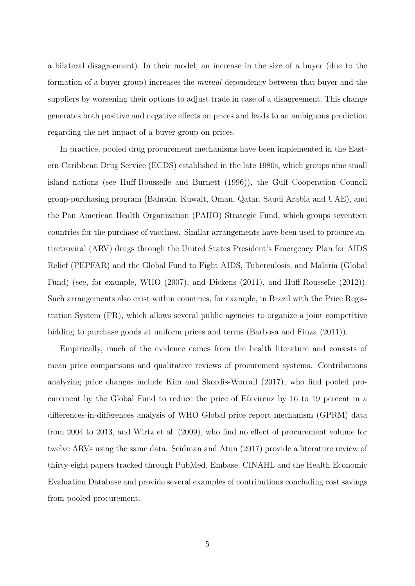a bilateral disagreement). In their model, an increase in the size of a buyer (due to the formation of a buyer group) increases the mutual dependency between that buyer and the suppliers by worsening their options to adjust trade in case of a disagreement. This change generates both positive and negative effects on prices and leads to an ambiguous prediction regarding the net impact of a buyer group on prices.

In practice, pooled drug procurement mechanisms have been implemented in the Eastern Caribbean Drug Service (ECDS) established in the late 1980s, which groups nine small island nations (see Huff-Rousselle and Burnett (1996)), the Gulf Cooperation Council group-purchasing program (Bahrain, Kuwait, Oman, Qatar, Saudi Arabia and UAE), and the Pan American Health Organization (PAHO) Strategic Fund, which groups seventeen countries for the purchase of vaccines. Similar arrangements have been used to procure antiretroviral (ARV) drugs through the United States President's Emergency Plan for AIDS Relief (PEPFAR) and the Global Fund to Fight AIDS, Tuberculosis, and Malaria (Global Fund) (see, for example, WHO (2007), and Dickens (2011), and Huff-Rousselle (2012)). Such arrangements also exist within countries, for example, in Brazil with the Price Registration System (PR), which allows several public agencies to organize a joint competitive bidding to purchase goods at uniform prices and terms (Barbosa and Fiuza (2011)).

Empirically, much of the evidence comes from the health literature and consists of mean price comparisons and qualitative reviews of procurement systems. Contributions analyzing price changes include Kim and Skordis-Worrall (2017), who find pooled procurement by the Global Fund to reduce the price of Efavirenz by 16 to 19 percent in a differences-in-differences analysis of WHO Global price report mechanism (GPRM) data from 2004 to 2013, and Wirtz et al. (2009), who find no effect of procurement volume for twelve ARVs using the same data. Seidman and Atun (2017) provide a literature review of thirty-eight papers tracked through PubMed, Embase, CINAHL and the Health Economic Evaluation Database and provide several examples of contributions concluding cost savings from pooled procurement.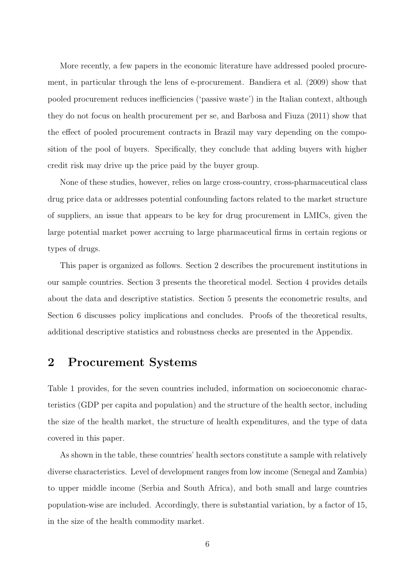More recently, a few papers in the economic literature have addressed pooled procurement, in particular through the lens of e-procurement. Bandiera et al. (2009) show that pooled procurement reduces inefficiencies ('passive waste') in the Italian context, although they do not focus on health procurement per se, and Barbosa and Fiuza (2011) show that the effect of pooled procurement contracts in Brazil may vary depending on the composition of the pool of buyers. Specifically, they conclude that adding buyers with higher credit risk may drive up the price paid by the buyer group.

None of these studies, however, relies on large cross-country, cross-pharmaceutical class drug price data or addresses potential confounding factors related to the market structure of suppliers, an issue that appears to be key for drug procurement in LMICs, given the large potential market power accruing to large pharmaceutical firms in certain regions or types of drugs.

This paper is organized as follows. Section 2 describes the procurement institutions in our sample countries. Section 3 presents the theoretical model. Section 4 provides details about the data and descriptive statistics. Section 5 presents the econometric results, and Section 6 discusses policy implications and concludes. Proofs of the theoretical results, additional descriptive statistics and robustness checks are presented in the Appendix.

## 2 Procurement Systems

Table 1 provides, for the seven countries included, information on socioeconomic characteristics (GDP per capita and population) and the structure of the health sector, including the size of the health market, the structure of health expenditures, and the type of data covered in this paper.

As shown in the table, these countries' health sectors constitute a sample with relatively diverse characteristics. Level of development ranges from low income (Senegal and Zambia) to upper middle income (Serbia and South Africa), and both small and large countries population-wise are included. Accordingly, there is substantial variation, by a factor of 15, in the size of the health commodity market.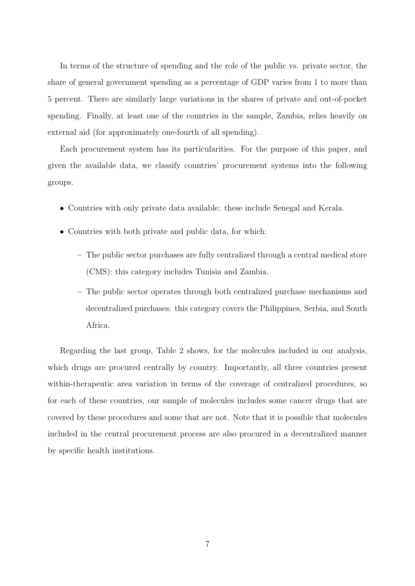In terms of the structure of spending and the role of the public vs. private sector, the share of general government spending as a percentage of GDP varies from 1 to more than 5 percent. There are similarly large variations in the shares of private and out-of-pocket spending. Finally, at least one of the countries in the sample, Zambia, relies heavily on external aid (for approximately one-fourth of all spending).

Each procurement system has its particularities. For the purpose of this paper, and given the available data, we classify countries' procurement systems into the following groups.

- Countries with only private data available: these include Senegal and Kerala.
- Countries with both private and public data, for which:
	- The public sector purchases are fully centralized through a central medical store (CMS): this category includes Tunisia and Zambia.
	- The public sector operates through both centralized purchase mechanisms and decentralized purchases: this category covers the Philippines, Serbia, and South Africa.

Regarding the last group, Table 2 shows, for the molecules included in our analysis, which drugs are procured centrally by country. Importantly, all three countries present within-therapeutic area variation in terms of the coverage of centralized procedures, so for each of these countries, our sample of molecules includes some cancer drugs that are covered by these procedures and some that are not. Note that it is possible that molecules included in the central procurement process are also procured in a decentralized manner by specific health institutions.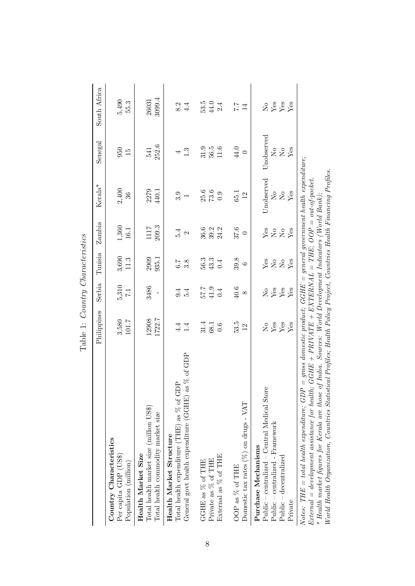|                                                                                                                                                                                                                                                                                                                                                                                                                                                                                                                                                                                                                                                                                                                                                                                                                                                | Labit 1. Duaini y Dimiachei eiles<br>Philippines       | Serbia                                                                     | Tunisia                                                                                   | Zambia                                                                                            | $Kerala^*$                                                             | Senegal                                                                                                                  | South Africa         |
|------------------------------------------------------------------------------------------------------------------------------------------------------------------------------------------------------------------------------------------------------------------------------------------------------------------------------------------------------------------------------------------------------------------------------------------------------------------------------------------------------------------------------------------------------------------------------------------------------------------------------------------------------------------------------------------------------------------------------------------------------------------------------------------------------------------------------------------------|--------------------------------------------------------|----------------------------------------------------------------------------|-------------------------------------------------------------------------------------------|---------------------------------------------------------------------------------------------------|------------------------------------------------------------------------|--------------------------------------------------------------------------------------------------------------------------|----------------------|
| Country Characteristics<br>Per capita GDP (US\$)<br>Population (million)                                                                                                                                                                                                                                                                                                                                                                                                                                                                                                                                                                                                                                                                                                                                                                       | 3,580<br>101.7                                         | 5,310<br>$\overline{1}$                                                    | 3,690<br>11.3                                                                             | 1,360<br>16.1                                                                                     | 2,400<br>36                                                            | 950<br>$\overline{15}$                                                                                                   | 5,490<br>55.3        |
| Total health market size (million US\$)<br>Total health commodity market size<br>Health Market Size                                                                                                                                                                                                                                                                                                                                                                                                                                                                                                                                                                                                                                                                                                                                            | 1722.7<br>12908                                        | 3486<br>$\mathbf I$                                                        | 2909<br>935.1                                                                             | 209.3<br>1117                                                                                     | 2279<br>440.1                                                          | 252.6<br>541                                                                                                             | 3099.4<br>26031      |
| as % of GDP<br>Total health expenditure (THE) as $\%$ of GDP<br>General govt health expenditure (GGHE)<br>Health Market Structure                                                                                                                                                                                                                                                                                                                                                                                                                                                                                                                                                                                                                                                                                                              | 4.4<br>1.4                                             | 9.4<br>5.4                                                                 | $\frac{8}{3}$ .8                                                                          | 5.4<br>$\mathbf{\Omega}$                                                                          | 3.9<br>$\overline{ }$                                                  | 1.3<br>4                                                                                                                 | 8.2<br>4.4           |
| External as % of THE<br>Private as % of THE<br>GGHE as % of THE                                                                                                                                                                                                                                                                                                                                                                                                                                                                                                                                                                                                                                                                                                                                                                                | 31.4<br>68.1<br>0.6                                    | 57.7<br>41.9<br>0.4                                                        | 56.3<br>43.3<br>0.4                                                                       | 36.6<br>$39.2$<br>$24.2$                                                                          | $\begin{array}{c} 25.6 \\ 73.6 \end{array}$<br>0.9                     | 56.5<br>31.9<br>11.6                                                                                                     | 53.5<br>44.0<br>2.4  |
| Domestic tax rates (%) on drugs - VAT<br>OOP as % of THE                                                                                                                                                                                                                                                                                                                                                                                                                                                                                                                                                                                                                                                                                                                                                                                       | 53.5<br>12                                             | 40.6<br>$\infty$                                                           | 39.8<br>$\circ$                                                                           | 37.6<br>$\circ$                                                                                   | 65.1<br>12                                                             | 44.0<br>$\circ$                                                                                                          | 7.7<br>14            |
| Public – centralized – Central Medical Store<br>Public – centralized - Framework<br>Purchase Mechanisms<br>$Public - decentralized$<br>Private                                                                                                                                                                                                                                                                                                                                                                                                                                                                                                                                                                                                                                                                                                 | Yes<br>${\rm Yes}$<br>$\mathop{\rm S}\nolimits$<br>Yes | $\mathbf{Y}\mathbf{es}$<br>${\rm Yes}$<br>Yes<br>$\mathop{\rm S}\nolimits$ | Yes<br>Yes<br>$\stackrel{\circ}{\phantom{}_{\sim}}$ $\stackrel{\circ}{\phantom{}_{\sim}}$ | ${\rm Yes}$<br>Yes<br>$\stackrel{\circ}{\phantom{}_{\sim}}$ $\stackrel{\circ}{\phantom{}_{\sim}}$ | Unobserved<br>$\rm \stackrel{\circ}{X}$<br>Yes<br>$\mathsf{S}^{\circ}$ | Unobserved<br>$\mathsf{S}^{\mathsf{O}}$<br>$\rm \stackrel{\circ}{\rm \stackrel{\circ}{\rm \scriptscriptstyle M}}$<br>Yes | $288$<br>$X8$<br>Yes |
| $Notes: \hspace{0.1cm} THE = total\hspace{0.1cm} \textit{h}\hspace{0.1cm} \textit{c}\hspace{0.1cm} \textit{d}\hspace{0.1cm} \textit{h}\hspace{0.1cm} \textit{c}\hspace{0.1cm} \textit{d}\hspace{0.1cm} \textit{d}\hspace{0.1cm} \textit{d}\hspace{0.1cm} \textit{u}\hspace{0.1cm} \textit{e}\hspace{0.1cm} } \textit{c}\hspace{0.1cm} \textit{c}\hspace{0.1cm} \textit{p}\hspace{0.1cm} \textit{e}\hspace{0.1cm}$<br>$World\ Health\ Organization,~Countries\ Statistical\ Problems$ . Health $Pvolice$ , $H$ . $H$ . $H$ . $H$ . $Pulice$ , $Pulice$ , $I$ . $Pulice$ , $I$ . $H$ . $H$ . $Pulice$ . $Pulice$ .<br>$External = development\;assistance\;for\;health;\; GGHB + PRIVATE + EXTERNAL = THB;\; OOP = out-of-pocket.$<br>* Health market figures for Kerala are those of India. Sources: World Development Indicators (World Bank), |                                                        |                                                                            |                                                                                           |                                                                                                   |                                                                        |                                                                                                                          |                      |

Table 1: Country Characteristics Table 1: Country Characteristics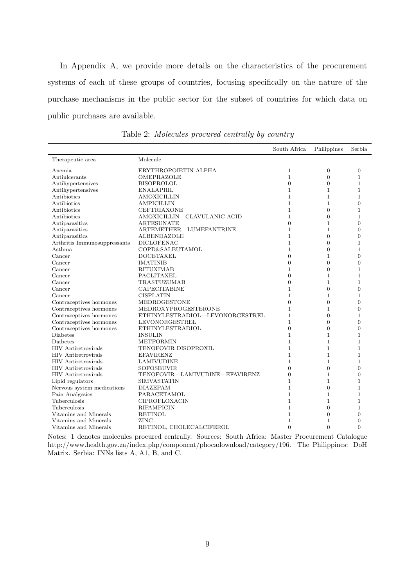In Appendix A, we provide more details on the characteristics of the procurement systems of each of these groups of countries, focusing specifically on the nature of the purchase mechanisms in the public sector for the subset of countries for which data on public purchases are available.

|                              |                                 | South Africa     | Philippines      | Serbia           |
|------------------------------|---------------------------------|------------------|------------------|------------------|
| Therapeutic area             | Molecule                        |                  |                  |                  |
| Anemia                       | ERYTHROPOIETIN ALPHA            | $\mathbf{1}$     | $\boldsymbol{0}$ | $\boldsymbol{0}$ |
| Antiulcerants                | OMEPRAZOLE                      | $\mathbf{1}$     | $\overline{0}$   | $\mathbf{1}$     |
| Antihypertensives            | <b>BISOPROLOL</b>               | $\overline{0}$   | $\overline{0}$   | $\mathbf{1}$     |
| Antihypertensives            | <b>ENALAPRIL</b>                | $\mathbf{1}$     | $\mathbf{1}$     | $\mathbf{1}$     |
| Antibiotics                  | <b>AMOXICILLIN</b>              | $\mathbf{1}$     | $\mathbf{1}$     | $\mathbf{1}$     |
| Antibiotics                  | <b>AMPICILLIN</b>               | $\mathbf{1}$     | $\mathbf{1}$     | $\overline{0}$   |
| Antibiotics                  | <b>CEFTRIAXONE</b>              | $\mathbf{1}$     | $\overline{0}$   | $\mathbf{1}$     |
| Antibiotics                  | AMOXICILLIN-CLAVULANIC ACID     | 1                | $\overline{0}$   | $\mathbf{1}$     |
| Antiparasitics               | <b>ARTESUNATE</b>               | $\overline{0}$   | 1                | $\overline{0}$   |
| Antiparasitics               | ARTEMETHER-LUMEFANTRINE         | $\mathbf{1}$     | $\mathbf{1}$     | $\overline{0}$   |
| Antiparasitics               | ALBENDAZOLE                     | $\mathbf{1}$     | $\overline{0}$   | $\overline{0}$   |
| Arthritis Immunosuppressants | <b>DICLOFENAC</b>               | $\mathbf{1}$     | 0                | $\mathbf{1}$     |
| Asthma                       | <b>COPD&amp;SALBUTAMOL</b>      | $\mathbf{1}$     | $\overline{0}$   | $\mathbf{1}$     |
| Cancer                       | <b>DOCETAXEL</b>                | $\boldsymbol{0}$ | $\mathbf 1$      | $\overline{0}$   |
| Cancer                       | <b>IMATINIB</b>                 | $\overline{0}$   | 0                | $\overline{0}$   |
| Cancer                       | <b>RITUXIMAB</b>                | $\mathbf 1$      | $\overline{0}$   | $\mathbf 1$      |
| Cancer                       | PACLITAXEL                      | $\Omega$         | $\mathbf{1}$     | $\mathbf{1}$     |
| Cancer                       | TRASTUZUMAB                     | $\boldsymbol{0}$ | $\mathbf{1}$     | $\mathbf{1}$     |
| Cancer                       | <b>CAPECITABINE</b>             | $\mathbf{1}$     | $\overline{0}$   | $\overline{0}$   |
| Cancer                       | <b>CISPLATIN</b>                | $\mathbf{1}$     | 1                | $\mathbf{1}$     |
| Contraceptives hormones      | MEDROGESTONE                    | $\overline{0}$   | $\overline{0}$   | $\overline{0}$   |
| Contraceptives hormones      | MEDROXYPROGESTERONE             | $\mathbf{1}$     | 1                | $\boldsymbol{0}$ |
| Contraceptives hormones      | ETHINYLESTRADIOL—LEVONORGESTREL | $\mathbf{1}$     | $\Omega$         | $\mathbf{1}$     |
| Contraceptives hormones      | LEVONORGESTREL                  | $\mathbf{1}$     | $\Omega$         | $\theta$         |
| Contraceptives hormones      | ETHINYLESTRADIOL                | $\overline{0}$   | $\overline{0}$   | $\overline{0}$   |
| Diabetes                     | <b>INSULIN</b>                  | $\mathbf{1}$     | $\mathbf{1}$     | $\mathbf{1}$     |
| <b>Diabetes</b>              | <b>METFORMIN</b>                | $\mathbf{1}$     | $\mathbf{1}$     | $\mathbf{1}$     |
| <b>HIV</b> Antiretrovirals   | TENOFOVIR DISOPROXIL            | $\mathbf{1}$     | $\mathbf 1$      | $\mathbf{1}$     |
| <b>HIV</b> Antiretrovirals   | <b>EFAVIRENZ</b>                | $\mathbf{1}$     | $\mathbf{1}$     | $\mathbf{1}$     |
| <b>HIV</b> Antiretrovirals   | <b>LAMIVUDINE</b>               | $\mathbf{1}$     | $\mathbf{1}$     | $\mathbf{1}$     |
| <b>HIV</b> Antiretrovirals   | <b>SOFOSBUVIR</b>               | $\Omega$         | $\Omega$         | $\theta$         |
| <b>HIV</b> Antiretrovirals   | TENOFOVIR—LAMIVUDINE—EFAVIRENZ  | $\overline{0}$   | 1                | $\overline{0}$   |
| Lipid regulators             | <b>SIMVASTATIN</b>              | $\mathbf{1}$     | $\mathbf{1}$     | $\mathbf{1}$     |
| Nervous system medications   | <b>DIAZEPAM</b>                 | $\mathbf{1}$     | $\overline{0}$   | $\mathbf{1}$     |
| Pain Analgesics              | <b>PARACETAMOL</b>              | $\mathbf{1}$     | $\mathbf 1$      | $\mathbf{1}$     |
| Tuberculosis                 | CIPROFLOXACIN                   | $\mathbf{1}$     | $\mathbf{1}$     | $\mathbf{1}$     |
| Tuberculosis                 | <b>RIFAMPICIN</b>               | $\mathbf{1}$     | $\overline{0}$   | $\mathbf{1}$     |
| Vitamins and Minerals        | <b>RETINOL</b>                  | $\mathbf{1}$     | $\overline{0}$   | $\overline{0}$   |
| Vitamins and Minerals        | ZINC                            | 1                | 1                | $\overline{0}$   |
| Vitamins and Minerals        | RETINOL, CHOLECALCIFEROL        | $\Omega$         | $\Omega$         | $\Omega$         |

Table 2: Molecules procured centrally by country

Notes: 1 denotes molecules procured centrally. Sources: South Africa: Master Procurement Catalogue http://www.health.gov.za/index.php/component/phocadownload/category/196. The Philippines: DoH Matrix. Serbia: INNs lists A, A1, B, and C.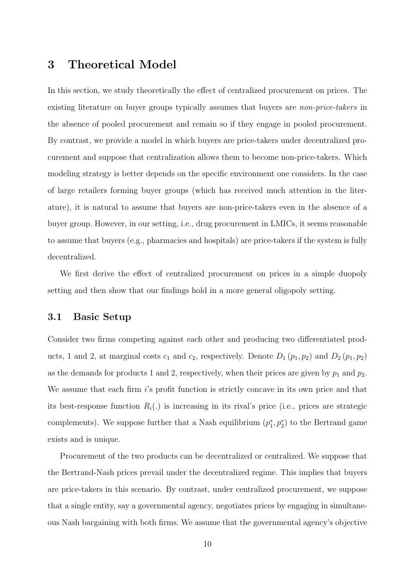## 3 Theoretical Model

In this section, we study theoretically the effect of centralized procurement on prices. The existing literature on buyer groups typically assumes that buyers are *non-price-takers* in the absence of pooled procurement and remain so if they engage in pooled procurement. By contrast, we provide a model in which buyers are price-takers under decentralized procurement and suppose that centralization allows them to become non-price-takers. Which modeling strategy is better depends on the specific environment one considers. In the case of large retailers forming buyer groups (which has received much attention in the literature), it is natural to assume that buyers are non-price-takers even in the absence of a buyer group. However, in our setting, i.e., drug procurement in LMICs, it seems reasonable to assume that buyers (e.g., pharmacies and hospitals) are price-takers if the system is fully decentralized.

We first derive the effect of centralized procurement on prices in a simple duopoly setting and then show that our findings hold in a more general oligopoly setting.

#### 3.1 Basic Setup

Consider two firms competing against each other and producing two differentiated products, 1 and 2, at marginal costs  $c_1$  and  $c_2$ , respectively. Denote  $D_1(p_1, p_2)$  and  $D_2(p_1, p_2)$ as the demands for products 1 and 2, respectively, when their prices are given by  $p_1$  and  $p_2$ . We assume that each firm is profit function is strictly concave in its own price and that its best-response function  $R_i(.)$  is increasing in its rival's price (i.e., prices are strategic complements). We suppose further that a Nash equilibrium  $(p_1^*, p_2^*)$  to the Bertrand game exists and is unique.

Procurement of the two products can be decentralized or centralized. We suppose that the Bertrand-Nash prices prevail under the decentralized regime. This implies that buyers are price-takers in this scenario. By contrast, under centralized procurement, we suppose that a single entity, say a governmental agency, negotiates prices by engaging in simultaneous Nash bargaining with both firms. We assume that the governmental agency's objective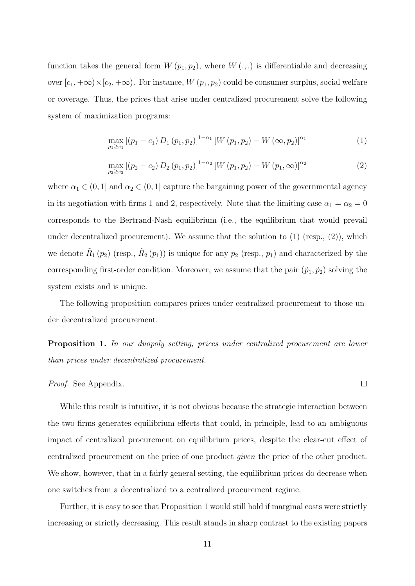function takes the general form  $W(p_1, p_2)$ , where  $W(., .)$  is differentiable and decreasing over  $[c_1, +\infty) \times [c_2, +\infty)$ . For instance,  $W(p_1, p_2)$  could be consumer surplus, social welfare or coverage. Thus, the prices that arise under centralized procurement solve the following system of maximization programs:

$$
\max_{p_1 \ge c_1} [(p_1 - c_1) D_1 (p_1, p_2)]^{1 - \alpha_1} [W (p_1, p_2) - W (\infty, p_2)]^{\alpha_1}
$$
\n(1)

$$
\max_{p_2 \ge c_2} [(p_2 - c_2) D_2 (p_1, p_2)]^{1 - \alpha_2} [W (p_1, p_2) - W (p_1, \infty)]^{\alpha_2}
$$
\n(2)

where  $\alpha_1 \in (0,1]$  and  $\alpha_2 \in (0,1]$  capture the bargaining power of the governmental agency in its negotiation with firms 1 and 2, respectively. Note that the limiting case  $\alpha_1 = \alpha_2 = 0$ corresponds to the Bertrand-Nash equilibrium (i.e., the equilibrium that would prevail under decentralized procurement). We assume that the solution to  $(1)$  (resp.,  $(2)$ ), which we denote  $\tilde{R}_1(p_2)$  (resp.,  $\tilde{R}_2(p_1)$ ) is unique for any  $p_2$  (resp.,  $p_1$ ) and characterized by the corresponding first-order condition. Moreover, we assume that the pair  $(\tilde{p}_1, \tilde{p}_2)$  solving the system exists and is unique.

The following proposition compares prices under centralized procurement to those under decentralized procurement.

Proposition 1. In our duopoly setting, prices under centralized procurement are lower than prices under decentralized procurement.

#### Proof. See Appendix.

While this result is intuitive, it is not obvious because the strategic interaction between the two firms generates equilibrium effects that could, in principle, lead to an ambiguous impact of centralized procurement on equilibrium prices, despite the clear-cut effect of centralized procurement on the price of one product given the price of the other product. We show, however, that in a fairly general setting, the equilibrium prices do decrease when one switches from a decentralized to a centralized procurement regime.

Further, it is easy to see that Proposition 1 would still hold if marginal costs were strictly increasing or strictly decreasing. This result stands in sharp contrast to the existing papers

 $\Box$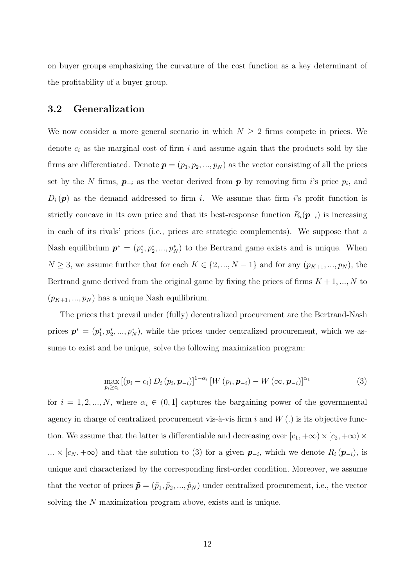on buyer groups emphasizing the curvature of the cost function as a key determinant of the profitability of a buyer group.

#### 3.2 Generalization

We now consider a more general scenario in which  $N \geq 2$  firms compete in prices. We denote  $c_i$  as the marginal cost of firm i and assume again that the products sold by the firms are differentiated. Denote  $p = (p_1, p_2, ..., p_N)$  as the vector consisting of all the prices set by the N firms,  $p_{-i}$  as the vector derived from p by removing firm i's price  $p_i$ , and  $D_i(p)$  as the demand addressed to firm i. We assume that firm is profit function is strictly concave in its own price and that its best-response function  $R_i(\mathbf{p}_{-i})$  is increasing in each of its rivals' prices (i.e., prices are strategic complements). We suppose that a Nash equilibrium  $p^* = (p_1^*, p_2^*, ..., p_N^*)$  to the Bertrand game exists and is unique. When  $N \geq 3$ , we assume further that for each  $K \in \{2, ..., N-1\}$  and for any  $(p_{K+1}, ..., p_N)$ , the Bertrand game derived from the original game by fixing the prices of firms  $K + 1, ..., N$  to  $(p_{K+1}, ..., p_N)$  has a unique Nash equilibrium.

The prices that prevail under (fully) decentralized procurement are the Bertrand-Nash prices  $\mathbf{p}^* = (p_1^*, p_2^*, ..., p_N^*)$ , while the prices under centralized procurement, which we assume to exist and be unique, solve the following maximization program:

$$
\max_{p_i \geq c_i} \left[ (p_i - c_i) D_i (p_i, \boldsymbol{p}_{-i}) \right]^{1-\alpha_i} \left[ W (p_i, \boldsymbol{p}_{-i}) - W (\infty, \boldsymbol{p}_{-i}) \right]^{\alpha_1} \tag{3}
$$

for  $i = 1, 2, ..., N$ , where  $\alpha_i \in (0, 1]$  captures the bargaining power of the governmental agency in charge of centralized procurement vis- $\lambda$ -vis firm i and  $W(.)$  is its objective function. We assume that the latter is differentiable and decreasing over  $[c_1, +\infty) \times (c_2, +\infty) \times$  $\ldots \times [c_N, +\infty)$  and that the solution to (3) for a given  $p_{-i}$ , which we denote  $R_i(p_{-i})$ , is unique and characterized by the corresponding first-order condition. Moreover, we assume that the vector of prices  $\tilde{\mathbf{p}} = (\tilde{p}_1, \tilde{p}_2, ..., \tilde{p}_N)$  under centralized procurement, i.e., the vector solving the N maximization program above, exists and is unique.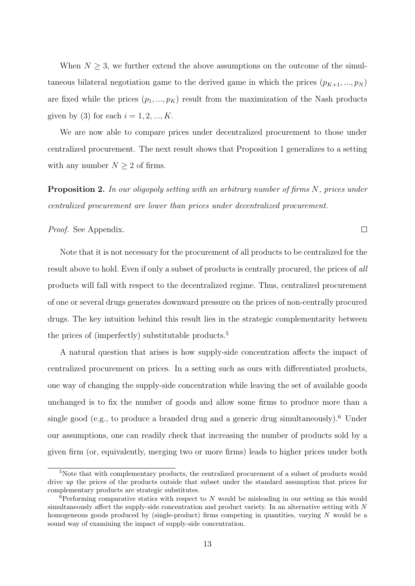When  $N \geq 3$ , we further extend the above assumptions on the outcome of the simultaneous bilateral negotiation game to the derived game in which the prices  $(p_{K+1},..., p_N)$ are fixed while the prices  $(p_1, ..., p_K)$  result from the maximization of the Nash products given by (3) for each  $i = 1, 2, ..., K$ .

We are now able to compare prices under decentralized procurement to those under centralized procurement. The next result shows that Proposition 1 generalizes to a setting with any number  $N \geq 2$  of firms.

Proposition 2. In our oligopoly setting with an arbitrary number of firms N, prices under centralized procurement are lower than prices under decentralized procurement.

 $\Box$ 

#### Proof. See Appendix.

Note that it is not necessary for the procurement of all products to be centralized for the result above to hold. Even if only a subset of products is centrally procured, the prices of all products will fall with respect to the decentralized regime. Thus, centralized procurement of one or several drugs generates downward pressure on the prices of non-centrally procured drugs. The key intuition behind this result lies in the strategic complementarity between the prices of (imperfectly) substitutable products.<sup>5</sup>

A natural question that arises is how supply-side concentration affects the impact of centralized procurement on prices. In a setting such as ours with differentiated products, one way of changing the supply-side concentration while leaving the set of available goods unchanged is to fix the number of goods and allow some firms to produce more than a single good (e.g., to produce a branded drug and a generic drug simultaneously).<sup>6</sup> Under our assumptions, one can readily check that increasing the number of products sold by a given firm (or, equivalently, merging two or more firms) leads to higher prices under both

 $5$ Note that with complementary products, the centralized procurement of a subset of products would drive up the prices of the products outside that subset under the standard assumption that prices for complementary products are strategic substitutes.

 ${}^{6}$ Performing comparative statics with respect to N would be misleading in our setting as this would simultaneously affect the supply-side concentration and product variety. In an alternative setting with N homogeneous goods produced by (single-product) firms competing in quantities, varying N would be a sound way of examining the impact of supply-side concentration.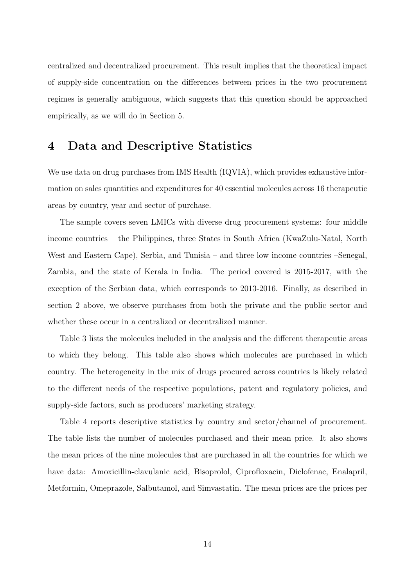centralized and decentralized procurement. This result implies that the theoretical impact of supply-side concentration on the differences between prices in the two procurement regimes is generally ambiguous, which suggests that this question should be approached empirically, as we will do in Section 5.

## 4 Data and Descriptive Statistics

We use data on drug purchases from IMS Health (IQVIA), which provides exhaustive information on sales quantities and expenditures for 40 essential molecules across 16 therapeutic areas by country, year and sector of purchase.

The sample covers seven LMICs with diverse drug procurement systems: four middle income countries – the Philippines, three States in South Africa (KwaZulu-Natal, North West and Eastern Cape), Serbia, and Tunisia – and three low income countries –Senegal, Zambia, and the state of Kerala in India. The period covered is 2015-2017, with the exception of the Serbian data, which corresponds to 2013-2016. Finally, as described in section 2 above, we observe purchases from both the private and the public sector and whether these occur in a centralized or decentralized manner.

Table 3 lists the molecules included in the analysis and the different therapeutic areas to which they belong. This table also shows which molecules are purchased in which country. The heterogeneity in the mix of drugs procured across countries is likely related to the different needs of the respective populations, patent and regulatory policies, and supply-side factors, such as producers' marketing strategy.

Table 4 reports descriptive statistics by country and sector/channel of procurement. The table lists the number of molecules purchased and their mean price. It also shows the mean prices of the nine molecules that are purchased in all the countries for which we have data: Amoxicillin-clavulanic acid, Bisoprolol, Ciprofloxacin, Diclofenac, Enalapril, Metformin, Omeprazole, Salbutamol, and Simvastatin. The mean prices are the prices per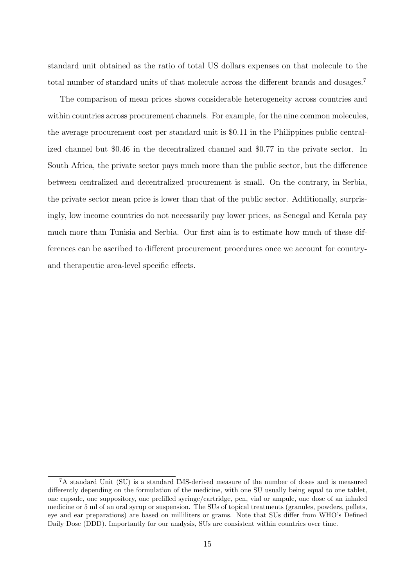standard unit obtained as the ratio of total US dollars expenses on that molecule to the total number of standard units of that molecule across the different brands and dosages.<sup>7</sup>

The comparison of mean prices shows considerable heterogeneity across countries and within countries across procurement channels. For example, for the nine common molecules, the average procurement cost per standard unit is \$0.11 in the Philippines public centralized channel but \$0.46 in the decentralized channel and \$0.77 in the private sector. In South Africa, the private sector pays much more than the public sector, but the difference between centralized and decentralized procurement is small. On the contrary, in Serbia, the private sector mean price is lower than that of the public sector. Additionally, surprisingly, low income countries do not necessarily pay lower prices, as Senegal and Kerala pay much more than Tunisia and Serbia. Our first aim is to estimate how much of these differences can be ascribed to different procurement procedures once we account for countryand therapeutic area-level specific effects.

<sup>&</sup>lt;sup>7</sup>A standard Unit (SU) is a standard IMS-derived measure of the number of doses and is measured differently depending on the formulation of the medicine, with one SU usually being equal to one tablet, one capsule, one suppository, one prefilled syringe/cartridge, pen, vial or ampule, one dose of an inhaled medicine or 5 ml of an oral syrup or suspension. The SUs of topical treatments (granules, powders, pellets, eye and ear preparations) are based on milliliters or grams. Note that SUs differ from WHO's Defined Daily Dose (DDD). Importantly for our analysis, SUs are consistent within countries over time.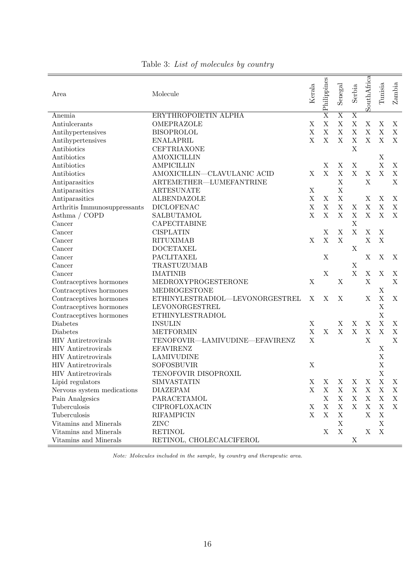| Area                         | Molecule                        | Kerala      | Philippines             | Senegal                 | Serbia                  | SouthAfrica | Tunisia     | Zambia                    |
|------------------------------|---------------------------------|-------------|-------------------------|-------------------------|-------------------------|-------------|-------------|---------------------------|
| Anemia                       | ERYTHROPOIETIN ALPHA            |             | $\overline{\mathrm{X}}$ | $\overline{\mathrm{X}}$ | $\overline{\mathrm{X}}$ |             |             |                           |
| Antiulcerants                | OMEPRAZOLE                      | $\mathbf X$ | $\mathbf X$             | $\mathbf X$             | $\mathbf X$             | $\mathbf X$ | X           | X                         |
| Antihypertensives            | <b>BISOPROLOL</b>               | $\mathbf X$ | $\mathbf X$             | $\mathbf X$             | $\mathbf X$             | $\mathbf X$ | $\mathbf X$ | $\mathbf X$               |
| Antihypertensives            | <b>ENALAPRIL</b>                | $\mathbf X$ | $\mathbf X$             | $\mathbf X$             | $\mathbf X$             | $\mathbf X$ | $\mathbf X$ | X                         |
| Antibiotics                  | <b>CEFTRIAXONE</b>              |             |                         |                         | $\mathbf X$             |             |             |                           |
| Antibiotics                  | <b>AMOXICILLIN</b>              |             |                         |                         |                         |             | $\mathbf X$ |                           |
| Antibiotics                  | <b>AMPICILLIN</b>               |             | $\mathbf X$             | $\mathbf X$             | $\mathbf X$             |             | $\mathbf X$ | X                         |
| Antibiotics                  | AMOXICILLIN-CLAVULANIC ACID     | X           | $\mathbf X$             | $\mathbf X$             | $\mathbf X$             | X           | $\mathbf X$ | $\mathbf X$               |
| Antiparasitics               | ARTEMETHER-LUMEFANTRINE         |             |                         | $\mathbf X$             |                         | $\mathbf X$ |             | X                         |
| Antiparasitics               | <b>ARTESUNATE</b>               | $\mathbf X$ |                         | X                       |                         |             |             |                           |
| Antiparasitics               | <b>ALBENDAZOLE</b>              | $\mathbf X$ | $\mathbf X$             | $\mathbf X$             |                         | $\mathbf X$ | $\mathbf X$ | X                         |
| Arthritis Immunosuppressants | <b>DICLOFENAC</b>               | $\bar{X}$   | $\mathbf X$             | $\mathbf X$             | $\mathbf X$             | $\mathbf X$ | $\mathbf X$ | $\mathbf X$               |
| Asthma / COPD                | <b>SALBUTAMOL</b>               | $\mathbf X$ | $\mathbf X$             | $\mathbf X$             | $\mathbf X$             | $\mathbf X$ | $\mathbf X$ | X                         |
| Cancer                       | <b>CAPECITABINE</b>             |             |                         |                         | $\mathbf X$             |             |             |                           |
| Cancer                       | <b>CISPLATIN</b>                |             | $\mathbf X$             | $\mathbf X$             | $\mathbf X$             | X           | $\mathbf X$ |                           |
| Cancer                       | <b>RITUXIMAB</b>                | $\mathbf X$ | $\mathbf X$             | $\mathbf X$             |                         | $\mathbf X$ | $\mathbf X$ |                           |
| Cancer                       | $\operatorname{DOCETAXEL}$      |             |                         |                         | $\mathbf X$             |             |             |                           |
| Cancer                       | PACLITAXEL                      |             | $\mathbf X$             |                         |                         | X           | $\mathbf X$ | $\boldsymbol{\mathrm{X}}$ |
| Cancer                       | TRASTUZUMAB                     |             |                         |                         | $\mathbf X$             |             |             |                           |
| Cancer                       | <b>IMATINIB</b>                 |             | $\mathbf X$             |                         | $\mathbf X$             | X           | $\mathbf X$ | X                         |
| Contraceptives hormones      | MEDROXYPROGESTERONE             | $\mathbf X$ |                         | $\mathbf X$             |                         | $\mathbf X$ |             | $\mathbf X$               |
| Contraceptives hormones      | MEDROGESTONE                    |             |                         |                         |                         |             | $\mathbf X$ |                           |
| Contraceptives hormones      | ETHINYLESTRADIOL-LEVONORGESTREL | X           | X                       | X                       |                         | X           | $\mathbf X$ | X                         |
| Contraceptives hormones      | LEVONORGESTREL                  |             |                         |                         |                         |             | $\mathbf X$ |                           |
| Contraceptives hormones      | <b>ETHINYLESTRADIOL</b>         |             |                         |                         |                         |             | $\mathbf X$ |                           |
| Diabetes                     | <b>INSULIN</b>                  | $\mathbf X$ |                         | X                       | X                       | $\mathbf X$ | $\mathbf X$ | X                         |
| Diabetes                     | <b>METFORMIN</b>                | $\mathbf X$ | $\mathbf X$             | $\mathbf X$             | $\mathbf X$             | $\mathbf X$ | $\mathbf X$ | $\mathbf X$               |
| <b>HIV</b> Antiretrovirals   | TENOFOVIR-LAMIVUDINE-EFAVIRENZ  | $\mathbf X$ |                         |                         |                         | $\mathbf X$ |             | $\mathbf X$               |
| <b>HIV</b> Antiretrovirals   | <b>EFAVIRENZ</b>                |             |                         |                         |                         |             | $\mathbf X$ |                           |
| <b>HIV</b> Antiretrovirals   | <b>LAMIVUDINE</b>               |             |                         |                         |                         |             | $\mathbf X$ |                           |
| <b>HIV</b> Antiretrovirals   | <b>SOFOSBUVIR</b>               | X           |                         |                         |                         |             | $\mathbf X$ |                           |
| <b>HIV</b> Antiretrovirals   | TENOFOVIR DISOPROXIL            |             |                         |                         |                         |             | $\mathbf X$ |                           |
| Lipid regulators             | <b>SIMVASTATIN</b>              | X           | X                       | X                       |                         | $X - X$     | X           | X                         |
| Nervous system medications   | <b>DIAZEPAM</b>                 | X           | X                       | $\mathbf X$             | $\mathbf X$             | X           | $\mathbf X$ | X                         |
| Pain Analgesics              | PARACETAMOL                     |             | $\mathbf X$             | X                       | $\mathbf X$             | $\mathbf X$ | X           | X                         |
| Tuberculosis                 | CIPROFLOXACIN                   | X           | $\mathbf X$             | $\mathbf X$             | $\mathbf X$             | $\mathbf X$ | X           | X                         |
| Tuberculosis                 | <b>RIFAMPICIN</b>               | $\mathbf X$ | $\mathbf X$             | $\mathbf X$             |                         | X           | X           |                           |
| Vitamins and Minerals        | ZINC                            |             |                         | $\mathbf X$             |                         |             | X           |                           |
| Vitamins and Minerals        | <b>RETINOL</b>                  |             | X                       | $\mathbf X$             |                         | X           | X           |                           |
| Vitamins and Minerals        | RETINOL, CHOLECALCIFEROL        |             |                         |                         | X                       |             |             |                           |
|                              |                                 |             |                         |                         |                         |             |             |                           |

Table 3: List of molecules by country

Note: Molecules included in the sample, by country and therapeutic area.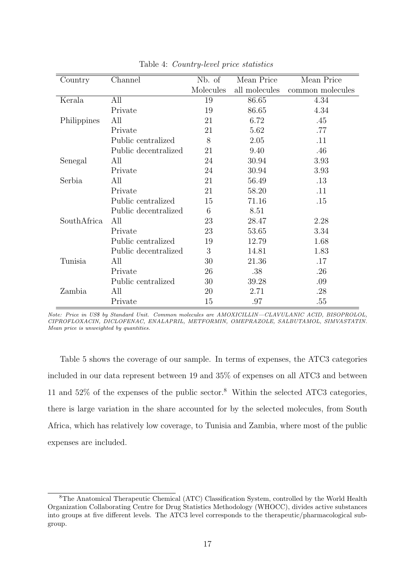| Country     | Channel              | Nb. of    | Mean Price    | Mean Price       |
|-------------|----------------------|-----------|---------------|------------------|
|             |                      | Molecules | all molecules | common molecules |
| Kerala      | All                  | 19        | 86.65         | 4.34             |
|             | Private              | 19        | 86.65         | 4.34             |
| Philippines | All                  | 21        | 6.72          | .45              |
|             | Private              | 21        | 5.62          | .77              |
|             | Public centralized   | 8         | 2.05          | .11              |
|             | Public decentralized | 21        | 9.40          | .46              |
| Senegal     | All                  | 24        | 30.94         | 3.93             |
|             | Private              | 24        | 30.94         | 3.93             |
| Serbia      | All                  | 21        | 56.49         | .13              |
|             | Private              | 21        | 58.20         | .11              |
|             | Public centralized   | 15        | 71.16         | .15              |
|             | Public decentralized | 6         | 8.51          |                  |
| SouthAfrica | All                  | 23        | 28.47         | 2.28             |
|             | Private              | 23        | 53.65         | 3.34             |
|             | Public centralized   | 19        | 12.79         | 1.68             |
|             | Public decentralized | 3         | 14.81         | 1.83             |
| Tunisia     | All                  | 30        | 21.36         | .17              |
|             | Private              | 26        | .38           | .26              |
|             | Public centralized   | 30        | 39.28         | .09              |
| Zambia      | All                  | 20        | 2.71          | .28              |
|             | Private              | 15        | .97           | .55              |

Table 4: Country-level price statistics

Note: Price in US\$ by Standard Unit. Common molecules are AMOXICILLIN—CLAVULANIC ACID, BISOPROLOL, CIPROFLOXACIN, DICLOFENAC, ENALAPRIL, METFORMIN, OMEPRAZOLE, SALBUTAMOL, SIMVASTATIN. Mean price is unweighted by quantities.

Table 5 shows the coverage of our sample. In terms of expenses, the ATC3 categories included in our data represent between 19 and 35% of expenses on all ATC3 and between 11 and 52% of the expenses of the public sector.<sup>8</sup> Within the selected ATC3 categories, there is large variation in the share accounted for by the selected molecules, from South Africa, which has relatively low coverage, to Tunisia and Zambia, where most of the public expenses are included.

<sup>8</sup>The Anatomical Therapeutic Chemical (ATC) Classification System, controlled by the World Health Organization Collaborating Centre for Drug Statistics Methodology (WHOCC), divides active substances into groups at five different levels. The ATC3 level corresponds to the therapeutic/pharmacological subgroup.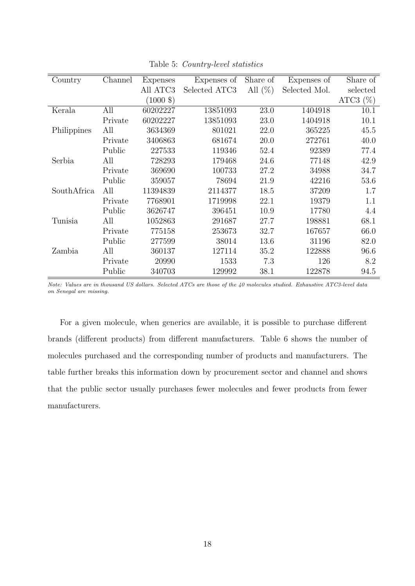| Country     | Channel | <b>Expenses</b>      | Expenses of   | Share of   | Expenses of   | Share of    |
|-------------|---------|----------------------|---------------|------------|---------------|-------------|
|             |         | All ATC3             | Selected ATC3 | All $(\%)$ | Selected Mol. | selected    |
|             |         | $(1000 \text{ } \$)$ |               |            |               | ATC3 $(\%)$ |
| Kerala      | All     | 60202227             | 13851093      | 23.0       | 1404918       | 10.1        |
|             | Private | 60202227             | 13851093      | 23.0       | 1404918       | 10.1        |
| Philippines | All     | 3634369              | 801021        | 22.0       | 365225        | 45.5        |
|             | Private | 3406863              | 681674        | 20.0       | 272761        | 40.0        |
|             | Public  | 227533               | 119346        | 52.4       | 92389         | 77.4        |
| Serbia      | All     | 728293               | 179468        | 24.6       | 77148         | 42.9        |
|             | Private | 369690               | 100733        | 27.2       | 34988         | 34.7        |
|             | Public  | 359057               | 78694         | 21.9       | 42216         | 53.6        |
| SouthAfrica | All     | 11394839             | 2114377       | 18.5       | 37209         | 1.7         |
|             | Private | 7768901              | 1719998       | 22.1       | 19379         | 1.1         |
|             | Public  | 3626747              | 396451        | 10.9       | 17780         | 4.4         |
| Tunisia     | All     | 1052863              | 291687        | 27.7       | 198881        | 68.1        |
|             | Private | 775158               | 253673        | 32.7       | 167657        | 66.0        |
|             | Public  | 277599               | 38014         | 13.6       | 31196         | 82.0        |
| Zambia      | All     | 360137               | 127114        | 35.2       | 122888        | 96.6        |
|             | Private | 20990                | 1533          | 7.3        | 126           | 8.2         |
|             | Public  | 340703               | 129992        | 38.1       | 122878        | 94.5        |

Table 5: Country-level statistics

Note: Values are in thousand US dollars. Selected ATCs are those of the 40 molecules studied. Exhaustive ATC3-level data on Senegal are missing.

For a given molecule, when generics are available, it is possible to purchase different brands (different products) from different manufacturers. Table 6 shows the number of molecules purchased and the corresponding number of products and manufacturers. The table further breaks this information down by procurement sector and channel and shows that the public sector usually purchases fewer molecules and fewer products from fewer manufacturers.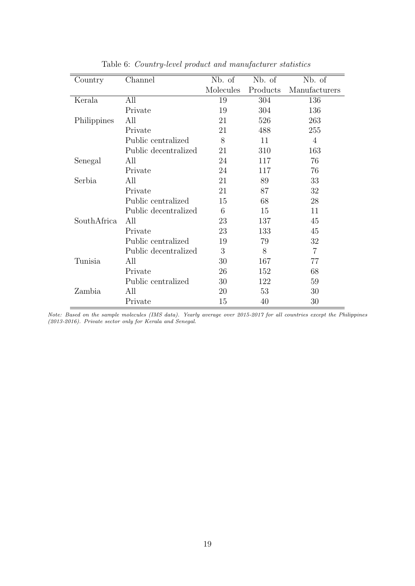| Country     | Channel              | Nb. of    | Nb. of   | Nb. of         |
|-------------|----------------------|-----------|----------|----------------|
|             |                      | Molecules | Products | Manufacturers  |
| Kerala      | All                  | 19        | 304      | 136            |
|             | Private              | 19        | 304      | 136            |
| Philippines | All                  | 21        | 526      | 263            |
|             | Private              | 21        | 488      | 255            |
|             | Public centralized   | 8         | 11       | 4              |
|             | Public decentralized | 21        | 310      | 163            |
| Senegal     | All                  | 24        | 117      | 76             |
|             | Private              | 24        | 117      | 76             |
| Serbia      | All                  | 21        | 89       | 33             |
|             | Private              | 21        | 87       | 32             |
|             | Public centralized   | 15        | 68       | 28             |
|             | Public decentralized | 6         | 15       | 11             |
| SouthAfrica | All                  | 23        | 137      | 45             |
|             | Private              | 23        | 133      | 45             |
|             | Public centralized   | 19        | 79       | 32             |
|             | Public decentralized | 3         | 8        | $\overline{7}$ |
| Tunisia     | All                  | 30        | 167      | 77             |
|             | Private              | 26        | 152      | 68             |
|             | Public centralized   | 30        | 122      | 59             |
| Zambia      | All                  | 20        | 53       | 30             |
|             | Private              | 15        | 40       | 30             |

Table 6: Country-level product and manufacturer statistics

Note: Based on the sample molecules (IMS data). Yearly average over 2015-2017 for all countries except the Philippines (2013-2016). Private sector only for Kerala and Senegal.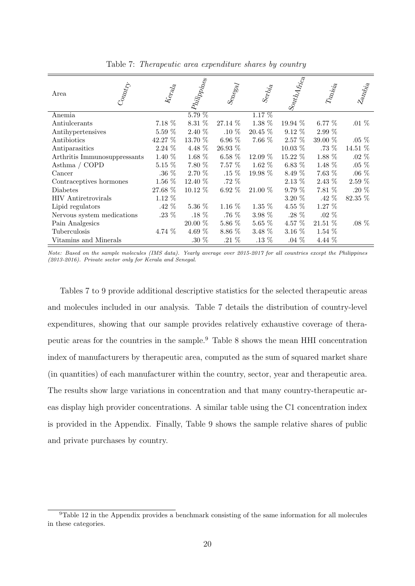| $\left  S_{01t\!/\!A} A_{\dot H \dot e_{\dot a}} \right $<br>Philippines<br>$S_{^{6}\!P_{^{6}\!S_{^{6}\!d}}}$<br>$T_{\mathit{Mig}_{\mathit{ig}_e}}$<br>$z_{a_{N_{b_{i_{a}}}}}$<br>$k_{eq\delta}$<br>$\delta_{\mathrm{e}_7\!j_{\!j_{\!d}}}$<br>Area<br>5.79%<br>$1.17\%$<br>Anemia<br>1.38 %<br>7.18 %<br>8.31 %<br>27.14 %<br>19.94 %<br>.01 $%$<br>$6.77\%$<br>Antiulcerants<br>$5.59~\%$<br>2.40 %<br>$.10\%$<br>20.45 %<br>$9.12\%$<br>2.99 %<br>Antihypertensives<br>42.27 %<br>6.96 $%$<br>7.66 %<br>$2.57\%$<br>39.00 %<br>13.70 %<br>$.05\%$<br>Antibiotics<br>$2.24\%$<br>4.48 %<br>.73 %<br>14.51 %<br>26.93 %<br>$10.03\%$<br>Antiparasitics<br>1.88 %<br>1.40 %<br>1.68 %<br>$6.58\%$<br>12.09 %<br>15.22 %<br>$.02\%$<br>Arthritis Immunosuppressants<br>$5.15\%$<br>7.80 %<br>7.57 %<br>1.48 %<br>.05 $\%$<br>Asthma / $\operatorname{COPD}$<br>1.62 $%$<br>6.83 $%$<br>.06 $\%$<br>.36 $\%$<br>2.70 %<br>$.15\%$<br>7.63 %<br>$19.98\%$<br>8.49 %<br>Cancer<br>.72 $\%$<br>$2.59~\%$<br>$1.56\%$<br>2.43 %<br>$12.40\%$<br>$2.13\%$<br>Contraceptives hormones<br>27.68 %<br>.20 $%$<br>$10.12\%$<br>6.92 $%$<br>9.79%<br>$7.81\%$<br>21.00 %<br>Diabetes<br>$1.12\%$<br>$3.20\%$<br>.42 $%$<br>82.35 %<br><b>HIV</b> Antiretrovirals<br>.42 $%$<br>1.27 %<br>5.36 %<br>1.16 $%$<br>$1.35\%$<br>4.55 $%$<br>Lipid regulators<br>.23 $\%$<br>.18 $%$<br>.76 %<br>.28 $\%$<br>3.98 %<br>$.02\%$<br>Nervous system medications<br>$5.86~\%$<br>$21.51~\%$<br>20.00 %<br>$5.65\%$<br>$4.57\%$<br>Pain Analgesics<br>$.08\%$<br>4.74 %<br>4.69 %<br>$8.86\%$<br>$3.48\%$<br>$3.16\%$<br>$1.54\%$<br>Tuberculosis<br>$.21\%$<br>.04 $%$<br>4.44 %<br>Vitamins and Minerals<br>$.30\ \%$<br>$.13\%$ |  |  |  |  |
|------------------------------------------------------------------------------------------------------------------------------------------------------------------------------------------------------------------------------------------------------------------------------------------------------------------------------------------------------------------------------------------------------------------------------------------------------------------------------------------------------------------------------------------------------------------------------------------------------------------------------------------------------------------------------------------------------------------------------------------------------------------------------------------------------------------------------------------------------------------------------------------------------------------------------------------------------------------------------------------------------------------------------------------------------------------------------------------------------------------------------------------------------------------------------------------------------------------------------------------------------------------------------------------------------------------------------------------------------------------------------------------------------------------------------------------------------------------------------------------------------------------------------------------------------------------------------------------------------------------------------------------------------------------------------------------------------------|--|--|--|--|
|                                                                                                                                                                                                                                                                                                                                                                                                                                                                                                                                                                                                                                                                                                                                                                                                                                                                                                                                                                                                                                                                                                                                                                                                                                                                                                                                                                                                                                                                                                                                                                                                                                                                                                            |  |  |  |  |
|                                                                                                                                                                                                                                                                                                                                                                                                                                                                                                                                                                                                                                                                                                                                                                                                                                                                                                                                                                                                                                                                                                                                                                                                                                                                                                                                                                                                                                                                                                                                                                                                                                                                                                            |  |  |  |  |
|                                                                                                                                                                                                                                                                                                                                                                                                                                                                                                                                                                                                                                                                                                                                                                                                                                                                                                                                                                                                                                                                                                                                                                                                                                                                                                                                                                                                                                                                                                                                                                                                                                                                                                            |  |  |  |  |
|                                                                                                                                                                                                                                                                                                                                                                                                                                                                                                                                                                                                                                                                                                                                                                                                                                                                                                                                                                                                                                                                                                                                                                                                                                                                                                                                                                                                                                                                                                                                                                                                                                                                                                            |  |  |  |  |
|                                                                                                                                                                                                                                                                                                                                                                                                                                                                                                                                                                                                                                                                                                                                                                                                                                                                                                                                                                                                                                                                                                                                                                                                                                                                                                                                                                                                                                                                                                                                                                                                                                                                                                            |  |  |  |  |
|                                                                                                                                                                                                                                                                                                                                                                                                                                                                                                                                                                                                                                                                                                                                                                                                                                                                                                                                                                                                                                                                                                                                                                                                                                                                                                                                                                                                                                                                                                                                                                                                                                                                                                            |  |  |  |  |
|                                                                                                                                                                                                                                                                                                                                                                                                                                                                                                                                                                                                                                                                                                                                                                                                                                                                                                                                                                                                                                                                                                                                                                                                                                                                                                                                                                                                                                                                                                                                                                                                                                                                                                            |  |  |  |  |
|                                                                                                                                                                                                                                                                                                                                                                                                                                                                                                                                                                                                                                                                                                                                                                                                                                                                                                                                                                                                                                                                                                                                                                                                                                                                                                                                                                                                                                                                                                                                                                                                                                                                                                            |  |  |  |  |
|                                                                                                                                                                                                                                                                                                                                                                                                                                                                                                                                                                                                                                                                                                                                                                                                                                                                                                                                                                                                                                                                                                                                                                                                                                                                                                                                                                                                                                                                                                                                                                                                                                                                                                            |  |  |  |  |
|                                                                                                                                                                                                                                                                                                                                                                                                                                                                                                                                                                                                                                                                                                                                                                                                                                                                                                                                                                                                                                                                                                                                                                                                                                                                                                                                                                                                                                                                                                                                                                                                                                                                                                            |  |  |  |  |
|                                                                                                                                                                                                                                                                                                                                                                                                                                                                                                                                                                                                                                                                                                                                                                                                                                                                                                                                                                                                                                                                                                                                                                                                                                                                                                                                                                                                                                                                                                                                                                                                                                                                                                            |  |  |  |  |
|                                                                                                                                                                                                                                                                                                                                                                                                                                                                                                                                                                                                                                                                                                                                                                                                                                                                                                                                                                                                                                                                                                                                                                                                                                                                                                                                                                                                                                                                                                                                                                                                                                                                                                            |  |  |  |  |
|                                                                                                                                                                                                                                                                                                                                                                                                                                                                                                                                                                                                                                                                                                                                                                                                                                                                                                                                                                                                                                                                                                                                                                                                                                                                                                                                                                                                                                                                                                                                                                                                                                                                                                            |  |  |  |  |
|                                                                                                                                                                                                                                                                                                                                                                                                                                                                                                                                                                                                                                                                                                                                                                                                                                                                                                                                                                                                                                                                                                                                                                                                                                                                                                                                                                                                                                                                                                                                                                                                                                                                                                            |  |  |  |  |
|                                                                                                                                                                                                                                                                                                                                                                                                                                                                                                                                                                                                                                                                                                                                                                                                                                                                                                                                                                                                                                                                                                                                                                                                                                                                                                                                                                                                                                                                                                                                                                                                                                                                                                            |  |  |  |  |
|                                                                                                                                                                                                                                                                                                                                                                                                                                                                                                                                                                                                                                                                                                                                                                                                                                                                                                                                                                                                                                                                                                                                                                                                                                                                                                                                                                                                                                                                                                                                                                                                                                                                                                            |  |  |  |  |
|                                                                                                                                                                                                                                                                                                                                                                                                                                                                                                                                                                                                                                                                                                                                                                                                                                                                                                                                                                                                                                                                                                                                                                                                                                                                                                                                                                                                                                                                                                                                                                                                                                                                                                            |  |  |  |  |

Table 7: Therapeutic area expenditure shares by country

Note: Based on the sample molecules (IMS data). Yearly average over 2015-2017 for all countries except the Philippines (2013-2016). Private sector only for Kerala and Senegal.

Tables 7 to 9 provide additional descriptive statistics for the selected therapeutic areas and molecules included in our analysis. Table 7 details the distribution of country-level expenditures, showing that our sample provides relatively exhaustive coverage of therapeutic areas for the countries in the sample.<sup>9</sup> Table 8 shows the mean HHI concentration index of manufacturers by therapeutic area, computed as the sum of squared market share (in quantities) of each manufacturer within the country, sector, year and therapeutic area. The results show large variations in concentration and that many country-therapeutic areas display high provider concentrations. A similar table using the C1 concentration index is provided in the Appendix. Finally, Table 9 shows the sample relative shares of public and private purchases by country.

 $9$ Table 12 in the Appendix provides a benchmark consisting of the same information for all molecules in these categories.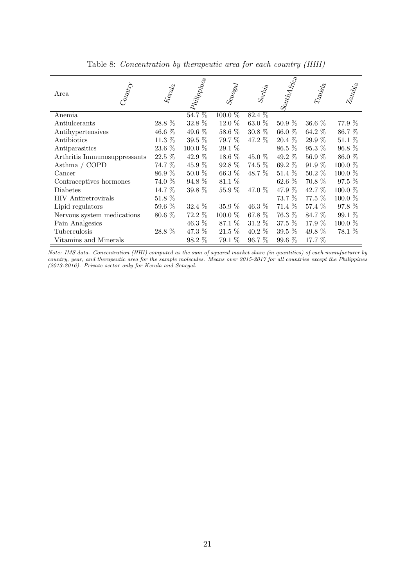| Country<br>Area                | $k_{\mathrm{e}_{\mathrm{f}_{\mathrm{d}_\mathrm{d}}}}$ | $ p_{lilij}$ | $S_{^{6}\!P_{\!o}_{\!S\!O\!d\!d\!f}}$ | $\mathcal{S}_{\mathrm{e}\gamma j_{i_{\hat{a}}}}$ | $\left  S_{\text{out}_{\mathcal{U}_{\mathcal{A}_{f_{\mathcal{X}_{C_{e}}}}}}}\right $ | $T_{4M_{\tilde{M}_{\tilde{G}}}}$ | $z_{a_{N_{b_{i_{a}}}}}$ |
|--------------------------------|-------------------------------------------------------|--------------|---------------------------------------|--------------------------------------------------|--------------------------------------------------------------------------------------|----------------------------------|-------------------------|
| Anemia                         |                                                       | $54.7\%$     | $100.0\%$                             | $82.\overline{4\%}$                              |                                                                                      |                                  |                         |
| Antiulcerants                  | 28.8 %                                                | $32.8~\%$    | 12.0 %                                | 63.0 %                                           | 50.9%                                                                                | $36.6\%$                         | 77.9 %                  |
| Antihypertensives              | 46.6 %                                                | 49.6 %       | 58.6 %                                | 30.8 %                                           | 66.0 %                                                                               | 64.2 %                           | 86.7 %                  |
| Antibiotics                    | 11.3 %                                                | 39.5 %       | 79.7 %                                | 47.2 %                                           | $20.4\%$                                                                             | 29.9 %                           | 51.1 %                  |
| Antiparasitics                 | $23.6~\%$                                             | $100.0~\%$   | $29.1~\%$                             |                                                  | 86.5 %                                                                               | 95.3 %                           | 96.8 %                  |
| Arthritis Immunosuppressants   | 22.5 %                                                | 42.9 %       | $18.6\%$                              | 45.0 %                                           | 49.2 $%$                                                                             | 56.9%                            | 86.0 %                  |
| Asthma / $\operatorname{COPD}$ | 74.7 %                                                | 45.9 %       | 92.8 %                                | 74.5 %                                           | 69.2 %                                                                               | 91.9 %                           | 100.0 %                 |
| Cancer                         | 86.9 %                                                | $50.0 \%$    | $66.3\%$                              | 48.7 %                                           | $51.4\%$                                                                             | $50.2\%$                         | 100.0 %                 |
| Contraceptives hormones        | 74.0 %                                                | 94.8 %       | 81.1 %                                |                                                  | 62.6 $%$                                                                             | $70.8\%$                         | $97.5\%$                |
| Diabetes                       | 14.7 %                                                | $39.8~\%$    | 55.9 %                                | 47.0 %                                           | 47.9 %                                                                               | 42.7 %                           | 100.0 %                 |
| <b>HIV</b> Antiretrovirals     | $51.8\%$                                              |              |                                       |                                                  | 73.7 %                                                                               | 77.5 %                           | $100.0\%$               |
| Lipid regulators               | $59.6~\%$                                             | 32.4 %       | 35.9 %                                | 46.3 $%$                                         | 71.4 %                                                                               | 57.4 %                           | 97.8 %                  |
| Nervous system medications     | 80.6 %                                                | 72.2 %       | 100.0 %                               | 67.8 %                                           | 76.3 %                                                                               | 84.7 %                           | 99.1 %                  |
| Pain Analgesics                |                                                       | 46.3 %       | 87.1 %                                | $31.2\%$                                         | $37.5\%$                                                                             | 17.9 $%$                         | 100.0 %                 |
| Tuberculosis                   | 28.8 %                                                | 47.3 %       | $21.5\%$                              | $40.2\%$                                         | $39.5\%$                                                                             | 49.8 %                           | 78.1 %                  |
| Vitamins and Minerals          |                                                       | $98.2\%$     | 79.1 %                                | 96.7 %                                           | $99.6\%$                                                                             | 17.7 %                           |                         |

Table 8: Concentration by therapeutic area for each country (HHI)

Note: IMS data. Concentration (HHI) computed as the sum of squared market share (in quantities) of each manufacturer by country, year, and therapeutic area for the sample molecules. Means over 2015-2017 for all countries except the Philippines (2013-2016). Private sector only for Kerala and Senegal.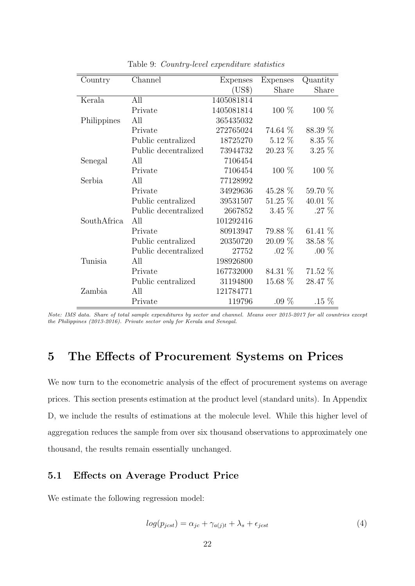| Country     | Channel              | Expenses   | Expenses  | Quantity  |
|-------------|----------------------|------------|-----------|-----------|
|             |                      | (US\$)     | Share     | Share     |
| Kerala      | All                  | 1405081814 |           |           |
|             | Private              | 1405081814 | 100 %     | $100\%$   |
| Philippines | All                  | 365435032  |           |           |
|             | Private              | 272765024  | 74.64 %   | 88.39 %   |
|             | Public centralized   | 18725270   | $5.12\%$  | $8.35\%$  |
|             | Public decentralized | 73944732   | $20.23\%$ | $3.25\%$  |
| Senegal     | All                  | 7106454    |           |           |
|             | Private              | 7106454    | $100\%$   | $100\%$   |
| Serbia      | All                  | 77128992   |           |           |
|             | Private              | 34929636   | $45.28\%$ | 59.70 %   |
|             | Public centralized   | 39531507   | $51.25\%$ | 40.01 $%$ |
|             | Public decentralized | 2667852    | $3.45\%$  | $.27\%$   |
| SouthAfrica | All                  | 101292416  |           |           |
|             | Private              | 80913947   | 79.88 %   | 61.41 %   |
|             | Public centralized   | 20350720   | $20.09\%$ | 38.58 %   |
|             | Public decentralized | 27752      | $.02\%$   | $.00\%$   |
| Tunisia     | All                  | 198926800  |           |           |
|             | Private              | 167732000  | 84.31 %   | 71.52 %   |
|             | Public centralized   | 31194800   | $15.68\%$ | 28.47 %   |
| Zambia      | All                  | 121784771  |           |           |
|             | Private              | 119796     | .09 $%$   | $.15\%$   |

Table 9: Country-level expenditure statistics

Note: IMS data. Share of total sample expenditures by sector and channel. Means over 2015-2017 for all countries except the Philippines (2013-2016). Private sector only for Kerala and Senegal.

## 5 The Effects of Procurement Systems on Prices

We now turn to the econometric analysis of the effect of procurement systems on average prices. This section presents estimation at the product level (standard units). In Appendix D, we include the results of estimations at the molecule level. While this higher level of aggregation reduces the sample from over six thousand observations to approximately one thousand, the results remain essentially unchanged.

#### 5.1 Effects on Average Product Price

We estimate the following regression model:

$$
log(p_{jcst}) = \alpha_{jc} + \gamma_{a(j)t} + \lambda_s + \epsilon_{jcst}
$$
\n<sup>(4)</sup>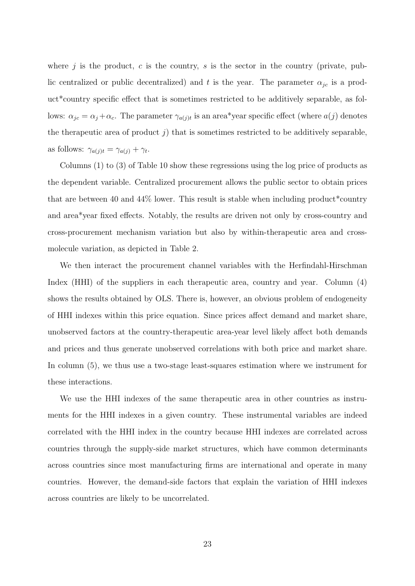where j is the product, c is the country, s is the sector in the country (private, public centralized or public decentralized) and t is the year. The parameter  $\alpha_{jc}$  is a product\*country specific effect that is sometimes restricted to be additively separable, as follows:  $\alpha_{jc} = \alpha_j + \alpha_c$ . The parameter  $\gamma_{a(j)t}$  is an area\*year specific effect (where  $a(j)$  denotes the therapeutic area of product  $j$ ) that is sometimes restricted to be additively separable, as follows:  $\gamma_{a(j)t} = \gamma_{a(j)} + \gamma_t$ .

Columns (1) to (3) of Table 10 show these regressions using the log price of products as the dependent variable. Centralized procurement allows the public sector to obtain prices that are between 40 and  $44\%$  lower. This result is stable when including product<sup>\*</sup>country and area\*year fixed effects. Notably, the results are driven not only by cross-country and cross-procurement mechanism variation but also by within-therapeutic area and crossmolecule variation, as depicted in Table 2.

We then interact the procurement channel variables with the Herfindahl-Hirschman Index (HHI) of the suppliers in each therapeutic area, country and year. Column (4) shows the results obtained by OLS. There is, however, an obvious problem of endogeneity of HHI indexes within this price equation. Since prices affect demand and market share, unobserved factors at the country-therapeutic area-year level likely affect both demands and prices and thus generate unobserved correlations with both price and market share. In column  $(5)$ , we thus use a two-stage least-squares estimation where we instrument for these interactions.

We use the HHI indexes of the same therapeutic area in other countries as instruments for the HHI indexes in a given country. These instrumental variables are indeed correlated with the HHI index in the country because HHI indexes are correlated across countries through the supply-side market structures, which have common determinants across countries since most manufacturing firms are international and operate in many countries. However, the demand-side factors that explain the variation of HHI indexes across countries are likely to be uncorrelated.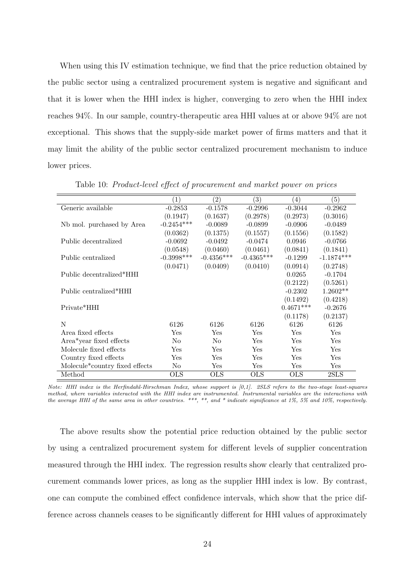When using this IV estimation technique, we find that the price reduction obtained by the public sector using a centralized procurement system is negative and significant and that it is lower when the HHI index is higher, converging to zero when the HHI index reaches 94%. In our sample, country-therapeutic area HHI values at or above 94% are not exceptional. This shows that the supply-side market power of firms matters and that it may limit the ability of the public sector centralized procurement mechanism to induce lower prices.

|                                             | $\left( 1\right)$ | $\left( 2\right)$ | $\left( 3\right)$ | (4)         | $\left( 5\right)$ |
|---------------------------------------------|-------------------|-------------------|-------------------|-------------|-------------------|
| Generic available                           | $-0.2853$         | $-0.1578$         | $-0.2996$         | $-0.3044$   | $-0.2962$         |
|                                             | (0.1947)          | (0.1637)          | (0.2978)          | (0.2973)    | (0.3016)          |
| Nb mol. purchased by Area                   | $-0.2454***$      | $-0.0089$         | $-0.0899$         | $-0.0906$   | $-0.0489$         |
|                                             | (0.0362)          | (0.1375)          | (0.1557)          | (0.1556)    | (0.1582)          |
| Public decentralized                        | $-0.0692$         | $-0.0492$         | $-0.0474$         | 0.0946      | $-0.0766$         |
|                                             | (0.0548)          | (0.0460)          | (0.0461)          | (0.0841)    | (0.1841)          |
| Public centralized                          | $-0.3998***$      | $-0.4356***$      | $-0.4365***$      | $-0.1299$   | $-1.1874***$      |
|                                             | (0.0471)          | (0.0409)          | (0.0410)          | (0.0914)    | (0.2748)          |
| Public decentralized*HHI                    |                   |                   |                   | 0.0265      | $-0.1704$         |
|                                             |                   |                   |                   | (0.2122)    | (0.5261)          |
| Public centralized*HHI                      |                   |                   |                   | $-0.2302$   | $1.2602**$        |
|                                             |                   |                   |                   | (0.1492)    | (0.4218)          |
| Private*HHI                                 |                   |                   |                   | $0.4671***$ | $-0.2676$         |
|                                             |                   |                   |                   | (0.1178)    | (0.2137)          |
| N                                           | 6126              | 6126              | 6126              | 6126        | 6126              |
| Area fixed effects                          | Yes               | Yes               | Yes               | Yes         | Yes               |
| Area*year fixed effects                     | N <sub>o</sub>    | N <sub>o</sub>    | Yes               | Yes         | Yes               |
| Molecule fixed effects                      | Yes               | Yes               | Yes               | Yes         | Yes               |
| Country fixed effects                       | Yes               | Yes               | Yes               | Yes         | Yes               |
| Molecule <sup>*</sup> country fixed effects | No                | Yes               | Yes               | Yes         | Yes               |
| Method                                      | <b>OLS</b>        | <b>OLS</b>        | <b>OLS</b>        | <b>OLS</b>  | 2SLS              |

Table 10: Product-level effect of procurement and market power on prices

Note: HHI index is the Herfindahl-Hirschman Index, whose support is [0,1]. 2SLS refers to the two-stage least-squares method, where variables interacted with the HHI index are instrumented. Instrumental variables are the interactions with the average HHI of the same area in other countries. \*\*\*, \*\*, and \* indicate significance at 1%, 5% and 10%, respectively.

The above results show the potential price reduction obtained by the public sector by using a centralized procurement system for different levels of supplier concentration measured through the HHI index. The regression results show clearly that centralized procurement commands lower prices, as long as the supplier HHI index is low. By contrast, one can compute the combined effect confidence intervals, which show that the price difference across channels ceases to be significantly different for HHI values of approximately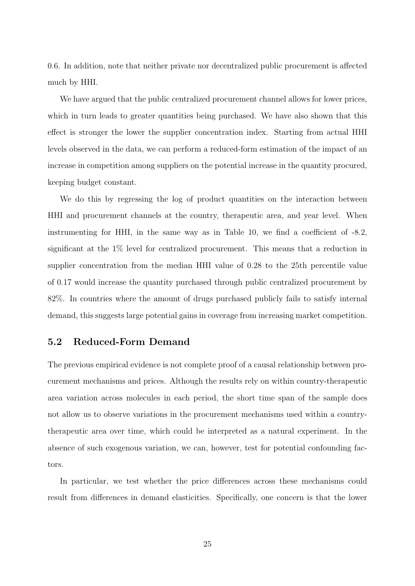0.6. In addition, note that neither private nor decentralized public procurement is affected much by HHI.

We have argued that the public centralized procurement channel allows for lower prices, which in turn leads to greater quantities being purchased. We have also shown that this effect is stronger the lower the supplier concentration index. Starting from actual HHI levels observed in the data, we can perform a reduced-form estimation of the impact of an increase in competition among suppliers on the potential increase in the quantity procured, keeping budget constant.

We do this by regressing the log of product quantities on the interaction between HHI and procurement channels at the country, therapeutic area, and year level. When instrumenting for HHI, in the same way as in Table 10, we find a coefficient of -8.2, significant at the 1% level for centralized procurement. This means that a reduction in supplier concentration from the median HHI value of 0.28 to the 25th percentile value of 0.17 would increase the quantity purchased through public centralized procurement by 82%. In countries where the amount of drugs purchased publicly fails to satisfy internal demand, this suggests large potential gains in coverage from increasing market competition.

#### 5.2 Reduced-Form Demand

The previous empirical evidence is not complete proof of a causal relationship between procurement mechanisms and prices. Although the results rely on within country-therapeutic area variation across molecules in each period, the short time span of the sample does not allow us to observe variations in the procurement mechanisms used within a countrytherapeutic area over time, which could be interpreted as a natural experiment. In the absence of such exogenous variation, we can, however, test for potential confounding factors.

In particular, we test whether the price differences across these mechanisms could result from differences in demand elasticities. Specifically, one concern is that the lower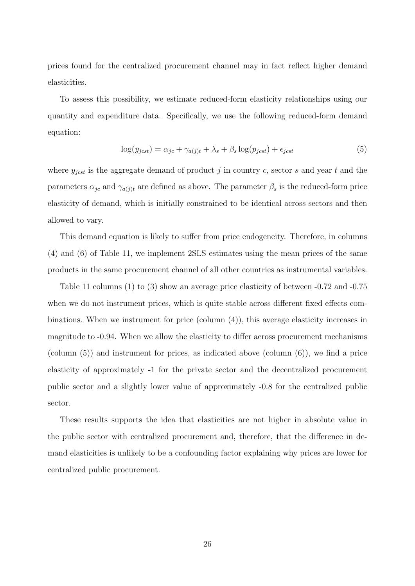prices found for the centralized procurement channel may in fact reflect higher demand elasticities.

To assess this possibility, we estimate reduced-form elasticity relationships using our quantity and expenditure data. Specifically, we use the following reduced-form demand equation:

$$
\log(y_{jcst}) = \alpha_{jc} + \gamma_{a(j)t} + \lambda_s + \beta_s \log(p_{jcst}) + \epsilon_{jcst}
$$
\n<sup>(5)</sup>

where  $y_{\text{test}}$  is the aggregate demand of product j in country c, sector s and year t and the parameters  $\alpha_{jc}$  and  $\gamma_{a(j)t}$  are defined as above. The parameter  $\beta_s$  is the reduced-form price elasticity of demand, which is initially constrained to be identical across sectors and then allowed to vary.

This demand equation is likely to suffer from price endogeneity. Therefore, in columns (4) and (6) of Table 11, we implement 2SLS estimates using the mean prices of the same products in the same procurement channel of all other countries as instrumental variables.

Table 11 columns (1) to (3) show an average price elasticity of between -0.72 and -0.75 when we do not instrument prices, which is quite stable across different fixed effects combinations. When we instrument for price (column (4)), this average elasticity increases in magnitude to -0.94. When we allow the elasticity to differ across procurement mechanisms (column  $(5)$ ) and instrument for prices, as indicated above (column  $(6)$ ), we find a price elasticity of approximately -1 for the private sector and the decentralized procurement public sector and a slightly lower value of approximately -0.8 for the centralized public sector.

These results supports the idea that elasticities are not higher in absolute value in the public sector with centralized procurement and, therefore, that the difference in demand elasticities is unlikely to be a confounding factor explaining why prices are lower for centralized public procurement.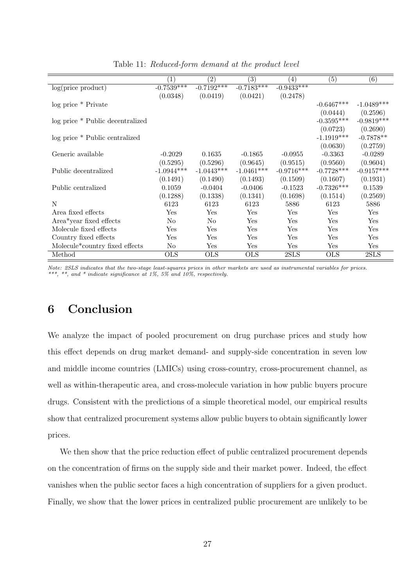|                                             | $\left(1\right)$        | (2)            | (3)          | $\left(4\right)$ | (5)          | (6)          |
|---------------------------------------------|-------------------------|----------------|--------------|------------------|--------------|--------------|
| log(price product)                          | $-0.75\overline{39***}$ | $-0.7192***$   | $-0.7183***$ | $-0.9433***$     |              |              |
|                                             | (0.0348)                | (0.0419)       | (0.0421)     | (0.2478)         |              |              |
| log price * Private                         |                         |                |              |                  | $-0.6467***$ | $-1.0489***$ |
|                                             |                         |                |              |                  | (0.0444)     | (0.2596)     |
| log price * Public decentralized            |                         |                |              |                  | $-0.3595***$ | $-0.9819***$ |
|                                             |                         |                |              |                  | (0.0723)     | (0.2690)     |
| log price * Public centralized              |                         |                |              |                  | $-1.1919***$ | $-0.7878**$  |
|                                             |                         |                |              |                  | (0.0630)     | (0.2759)     |
| Generic available                           | $-0.2029$               | 0.1635         | $-0.1865$    | $-0.0955$        | $-0.3363$    | $-0.0289$    |
|                                             | (0.5295)                | (0.5296)       | (0.9645)     | (0.9515)         | (0.9560)     | (0.9604)     |
| Public decentralized                        | $-1.0944***$            | $-1.0443***$   | $-1.0461***$ | $-0.9716***$     | $-0.7728***$ | $-0.9157***$ |
|                                             | (0.1491)                | (0.1490)       | (0.1493)     | (0.1509)         | (0.1607)     | (0.1931)     |
| Public centralized                          | 0.1059                  | $-0.0404$      | $-0.0406$    | $-0.1523$        | $-0.7326***$ | 0.1539       |
|                                             | (0.1288)                | (0.1338)       | (0.1341)     | (0.1698)         | (0.1514)     | (0.2569)     |
| N                                           | 6123                    | 6123           | 6123         | 5886             | 6123         | 5886         |
| Area fixed effects                          | Yes                     | $_{\rm Yes}$   | Yes          | Yes              | Yes          | Yes          |
| Area*year fixed effects                     | N <sub>o</sub>          | N <sub>o</sub> | Yes          | Yes              | Yes          | Yes          |
| Molecule fixed effects                      | Yes                     | Yes            | Yes          | Yes              | Yes          | Yes          |
| Country fixed effects                       | $\operatorname{Yes}$    | Yes            | Yes          | Yes              | Yes          | Yes          |
| Molecule <sup>*</sup> country fixed effects | No                      | Yes            | Yes          | Yes              | Yes          | Yes          |
| Method                                      | <b>OLS</b>              | <b>OLS</b>     | <b>OLS</b>   | 2SLS             | <b>OLS</b>   | 2SLS         |

Table 11: Reduced-form demand at the product level

Note: 2SLS indicates that the two-stage least-squares prices in other markets are used as instrumental variables for prices. \*\*\*, \*\*, and \* indicate significance at 1%, 5% and 10%, respectively.

## 6 Conclusion

We analyze the impact of pooled procurement on drug purchase prices and study how this effect depends on drug market demand- and supply-side concentration in seven low and middle income countries (LMICs) using cross-country, cross-procurement channel, as well as within-therapeutic area, and cross-molecule variation in how public buyers procure drugs. Consistent with the predictions of a simple theoretical model, our empirical results show that centralized procurement systems allow public buyers to obtain significantly lower prices.

We then show that the price reduction effect of public centralized procurement depends on the concentration of firms on the supply side and their market power. Indeed, the effect vanishes when the public sector faces a high concentration of suppliers for a given product. Finally, we show that the lower prices in centralized public procurement are unlikely to be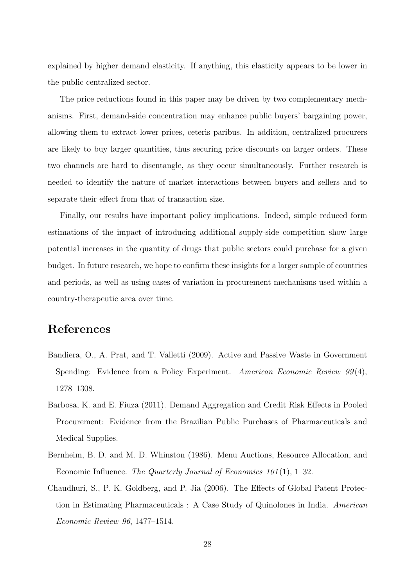explained by higher demand elasticity. If anything, this elasticity appears to be lower in the public centralized sector.

The price reductions found in this paper may be driven by two complementary mechanisms. First, demand-side concentration may enhance public buyers' bargaining power, allowing them to extract lower prices, ceteris paribus. In addition, centralized procurers are likely to buy larger quantities, thus securing price discounts on larger orders. These two channels are hard to disentangle, as they occur simultaneously. Further research is needed to identify the nature of market interactions between buyers and sellers and to separate their effect from that of transaction size.

Finally, our results have important policy implications. Indeed, simple reduced form estimations of the impact of introducing additional supply-side competition show large potential increases in the quantity of drugs that public sectors could purchase for a given budget. In future research, we hope to confirm these insights for a larger sample of countries and periods, as well as using cases of variation in procurement mechanisms used within a country-therapeutic area over time.

## References

- Bandiera, O., A. Prat, and T. Valletti (2009). Active and Passive Waste in Government Spending: Evidence from a Policy Experiment. American Economic Review 99(4), 1278–1308.
- Barbosa, K. and E. Fiuza (2011). Demand Aggregation and Credit Risk Effects in Pooled Procurement: Evidence from the Brazilian Public Purchases of Pharmaceuticals and Medical Supplies.
- Bernheim, B. D. and M. D. Whinston (1986). Menu Auctions, Resource Allocation, and Economic Influence. The Quarterly Journal of Economics 101 (1), 1–32.
- Chaudhuri, S., P. K. Goldberg, and P. Jia (2006). The Effects of Global Patent Protection in Estimating Pharmaceuticals : A Case Study of Quinolones in India. American Economic Review 96, 1477–1514.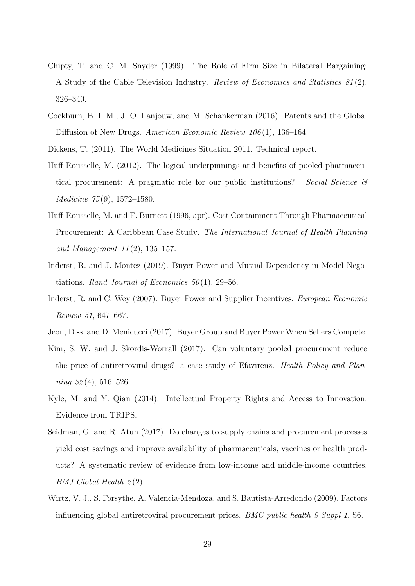- Chipty, T. and C. M. Snyder (1999). The Role of Firm Size in Bilateral Bargaining: A Study of the Cable Television Industry. Review of Economics and Statistics 81 (2), 326–340.
- Cockburn, B. I. M., J. O. Lanjouw, and M. Schankerman (2016). Patents and the Global Diffusion of New Drugs. American Economic Review 106(1), 136-164.
- Dickens, T. (2011). The World Medicines Situation 2011. Technical report.
- Huff-Rousselle, M. (2012). The logical underpinnings and benefits of pooled pharmaceutical procurement: A pragmatic role for our public institutions? Social Science & Medicine 75 (9), 1572–1580.
- Huff-Rousselle, M. and F. Burnett (1996, apr). Cost Containment Through Pharmaceutical Procurement: A Caribbean Case Study. The International Journal of Health Planning and Management  $11(2)$ , 135-157.
- Inderst, R. and J. Montez (2019). Buyer Power and Mutual Dependency in Model Negotiations. Rand Journal of Economics  $50(1)$ , 29–56.
- Inderst, R. and C. Wey (2007). Buyer Power and Supplier Incentives. European Economic Review 51, 647–667.
- Jeon, D.-s. and D. Menicucci (2017). Buyer Group and Buyer Power When Sellers Compete.
- Kim, S. W. and J. Skordis-Worrall (2017). Can voluntary pooled procurement reduce the price of antiretroviral drugs? a case study of Efavirenz. Health Policy and Plan $ning \, 32(4), \, 516-526.$
- Kyle, M. and Y. Qian (2014). Intellectual Property Rights and Access to Innovation: Evidence from TRIPS.
- Seidman, G. and R. Atun (2017). Do changes to supply chains and procurement processes yield cost savings and improve availability of pharmaceuticals, vaccines or health products? A systematic review of evidence from low-income and middle-income countries.  $BMJ$  Global Health  $2(2)$ .
- Wirtz, V. J., S. Forsythe, A. Valencia-Mendoza, and S. Bautista-Arredondo (2009). Factors influencing global antiretroviral procurement prices. BMC public health 9 Suppl 1, S6.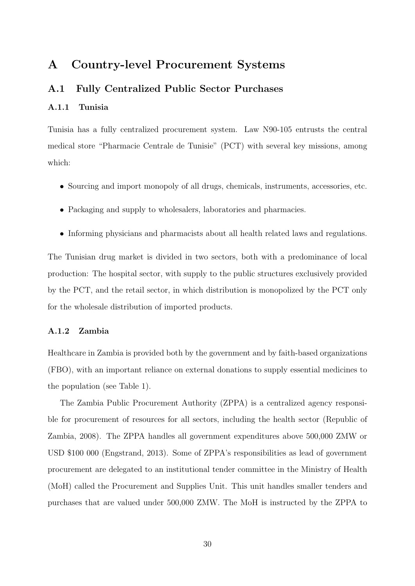## A Country-level Procurement Systems

#### A.1 Fully Centralized Public Sector Purchases

#### A.1.1 Tunisia

Tunisia has a fully centralized procurement system. Law N90-105 entrusts the central medical store "Pharmacie Centrale de Tunisie" (PCT) with several key missions, among which:

- Sourcing and import monopoly of all drugs, chemicals, instruments, accessories, etc.
- Packaging and supply to wholesalers, laboratories and pharmacies.
- Informing physicians and pharmacists about all health related laws and regulations.

The Tunisian drug market is divided in two sectors, both with a predominance of local production: The hospital sector, with supply to the public structures exclusively provided by the PCT, and the retail sector, in which distribution is monopolized by the PCT only for the wholesale distribution of imported products.

#### A.1.2 Zambia

Healthcare in Zambia is provided both by the government and by faith-based organizations (FBO), with an important reliance on external donations to supply essential medicines to the population (see Table 1).

The Zambia Public Procurement Authority (ZPPA) is a centralized agency responsible for procurement of resources for all sectors, including the health sector (Republic of Zambia, 2008). The ZPPA handles all government expenditures above 500,000 ZMW or USD \$100 000 (Engstrand, 2013). Some of ZPPA's responsibilities as lead of government procurement are delegated to an institutional tender committee in the Ministry of Health (MoH) called the Procurement and Supplies Unit. This unit handles smaller tenders and purchases that are valued under 500,000 ZMW. The MoH is instructed by the ZPPA to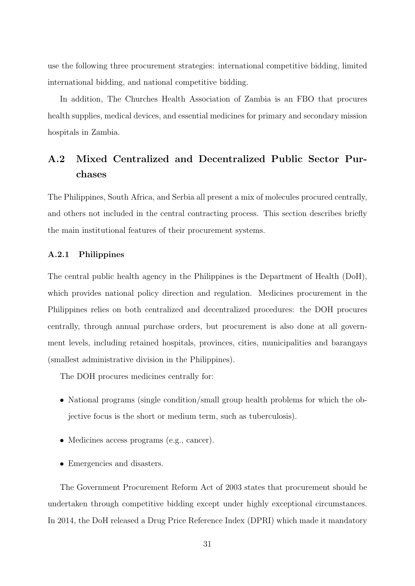use the following three procurement strategies: international competitive bidding, limited international bidding, and national competitive bidding.

In addition, The Churches Health Association of Zambia is an FBO that procures health supplies, medical devices, and essential medicines for primary and secondary mission hospitals in Zambia.

## A.2 Mixed Centralized and Decentralized Public Sector Purchases

The Philippines, South Africa, and Serbia all present a mix of molecules procured centrally, and others not included in the central contracting process. This section describes briefly the main institutional features of their procurement systems.

#### A.2.1 Philippines

The central public health agency in the Philippines is the Department of Health (DoH), which provides national policy direction and regulation. Medicines procurement in the Philippines relies on both centralized and decentralized procedures: the DOH procures centrally, through annual purchase orders, but procurement is also done at all government levels, including retained hospitals, provinces, cities, municipalities and barangays (smallest administrative division in the Philippines).

The DOH procures medicines centrally for:

- National programs (single condition/small group health problems for which the objective focus is the short or medium term, such as tuberculosis).
- Medicines access programs (e.g., cancer).
- Emergencies and disasters.

The Government Procurement Reform Act of 2003 states that procurement should be undertaken through competitive bidding except under highly exceptional circumstances. In 2014, the DoH released a Drug Price Reference Index (DPRI) which made it mandatory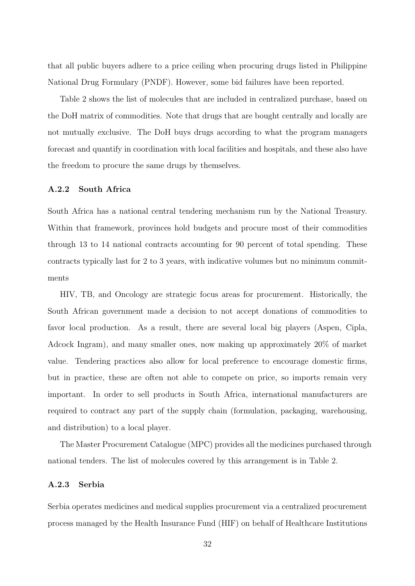that all public buyers adhere to a price ceiling when procuring drugs listed in Philippine National Drug Formulary (PNDF). However, some bid failures have been reported.

Table 2 shows the list of molecules that are included in centralized purchase, based on the DoH matrix of commodities. Note that drugs that are bought centrally and locally are not mutually exclusive. The DoH buys drugs according to what the program managers forecast and quantify in coordination with local facilities and hospitals, and these also have the freedom to procure the same drugs by themselves.

#### A.2.2 South Africa

South Africa has a national central tendering mechanism run by the National Treasury. Within that framework, provinces hold budgets and procure most of their commodities through 13 to 14 national contracts accounting for 90 percent of total spending. These contracts typically last for 2 to 3 years, with indicative volumes but no minimum commitments

HIV, TB, and Oncology are strategic focus areas for procurement. Historically, the South African government made a decision to not accept donations of commodities to favor local production. As a result, there are several local big players (Aspen, Cipla, Adcock Ingram), and many smaller ones, now making up approximately 20% of market value. Tendering practices also allow for local preference to encourage domestic firms, but in practice, these are often not able to compete on price, so imports remain very important. In order to sell products in South Africa, international manufacturers are required to contract any part of the supply chain (formulation, packaging, warehousing, and distribution) to a local player.

The Master Procurement Catalogue (MPC) provides all the medicines purchased through national tenders. The list of molecules covered by this arrangement is in Table 2.

#### A.2.3 Serbia

Serbia operates medicines and medical supplies procurement via a centralized procurement process managed by the Health Insurance Fund (HIF) on behalf of Healthcare Institutions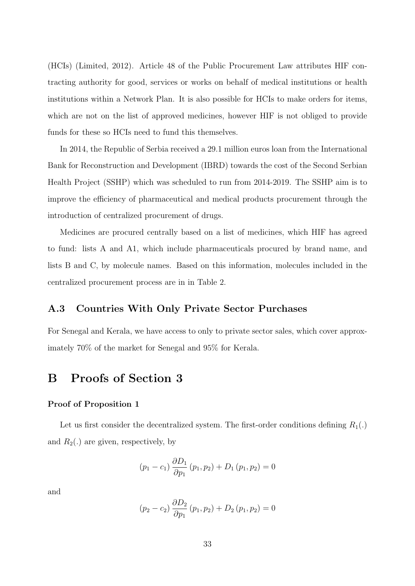(HCIs) (Limited, 2012). Article 48 of the Public Procurement Law attributes HIF contracting authority for good, services or works on behalf of medical institutions or health institutions within a Network Plan. It is also possible for HCIs to make orders for items, which are not on the list of approved medicines, however HIF is not obliged to provide funds for these so HCIs need to fund this themselves.

In 2014, the Republic of Serbia received a 29.1 million euros loan from the International Bank for Reconstruction and Development (IBRD) towards the cost of the Second Serbian Health Project (SSHP) which was scheduled to run from 2014-2019. The SSHP aim is to improve the efficiency of pharmaceutical and medical products procurement through the introduction of centralized procurement of drugs.

Medicines are procured centrally based on a list of medicines, which HIF has agreed to fund: lists A and A1, which include pharmaceuticals procured by brand name, and lists B and C, by molecule names. Based on this information, molecules included in the centralized procurement process are in in Table 2.

#### A.3 Countries With Only Private Sector Purchases

For Senegal and Kerala, we have access to only to private sector sales, which cover approximately 70% of the market for Senegal and 95% for Kerala.

## B Proofs of Section 3

#### Proof of Proposition 1

Let us first consider the decentralized system. The first-order conditions defining  $R_1(.)$ and  $R_2(.)$  are given, respectively, by

$$
(p_1 - c_1) \frac{\partial D_1}{\partial p_1} (p_1, p_2) + D_1 (p_1, p_2) = 0
$$

and

$$
(p_2 - c_2) \frac{\partial D_2}{\partial p_1} (p_1, p_2) + D_2 (p_1, p_2) = 0
$$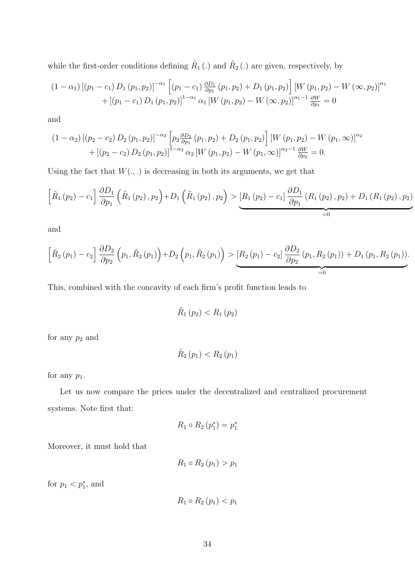while the first-order conditions defining  $\tilde{R}_1(.)$  and  $\tilde{R}_2(.)$  are given, respectively, by

$$
(1 - \alpha_1) [(p_1 - c_1) D_1 (p_1, p_2)]^{-\alpha_1} [(p_1 - c_1) \frac{\partial D_1}{\partial p_1} (p_1, p_2) + D_1 (p_1, p_2)] [W (p_1, p_2) - W (\infty, p_2)]^{\alpha_1}
$$
  
+ 
$$
[(p_1 - c_1) D_1 (p_1, p_2)]^{1 - \alpha_1} \alpha_1 [W (p_1, p_2) - W (\infty, p_2)]^{\alpha_1 - 1} \frac{\partial W}{\partial p_1} = 0
$$

and

$$
(1 - \alpha_2) [(p_2 - c_2) D_2 (p_1, p_2)]^{-\alpha_2} \left[ p_2 \frac{\partial D_2}{\partial p_1} (p_1, p_2) + D_2 (p_1, p_2) \right] [W (p_1, p_2) - W (p_1, \infty)]^{\alpha_2}
$$
  
+ 
$$
[(p_2 - c_2) D_2 (p_1, p_2)]^{1 - \alpha_2} \alpha_2 [W (p_1, p_2) - W (p_1, \infty)]^{\alpha_2 - 1} \frac{\partial W}{\partial p_2} = 0.
$$

Using the fact that  $W(.,.)$  is decreasing in both its arguments, we get that

$$
\left[\tilde{R}_{1}(p_{2})-c_{1}\right]\frac{\partial D_{1}}{\partial p_{1}}\left(\tilde{R}_{1}(p_{2}),p_{2}\right)+D_{1}\left(\tilde{R}_{1}(p_{2}),p_{2}\right) >\underbrace{\left[R_{1}(p_{2})-c_{1}\right]\frac{\partial D_{1}}{\partial p_{1}}\left(R_{1}(p_{2}),p_{2}\right)+D_{1}\left(R_{1}(p_{2}),p_{2}\right)}_{=0}
$$

and

$$
\left[\tilde{R}_{2}(p_{1})-c_{2}\right]\frac{\partial D_{2}}{\partial p_{2}}\left(p_{1},\tilde{R}_{2}(p_{1})\right)+D_{2}\left(p_{1},\tilde{R}_{2}(p_{1})\right) >\underbrace{\left[R_{2}(p_{1})-c_{2}\right]\frac{\partial D_{2}}{\partial p_{2}}\left(p_{1},R_{2}(p_{1})\right)+D_{1}\left(p_{1},R_{2}(p_{1})\right)}_{=0}.
$$

This, combined with the concavity of each firm's profit function leads to

$$
\tilde{R}_1(p_2) < R_1(p_2)
$$

for any  $p_2$  and

$$
\tilde{R}_{2}\left(p_{1}\right) < R_{2}\left(p_{1}\right)
$$

for any  $p_1$ .

Let us now compare the prices under the decentralized and centralized procurement systems. Note first that:

$$
R_1 \circ R_2 (p_1^*) = p_1^*
$$

Moreover, it must hold that

$$
R_1 \circ R_2 (p_1) > p_1
$$

for  $p_1 < p_1^*$ , and

$$
R_1 \circ R_2 (p_1) < p_1
$$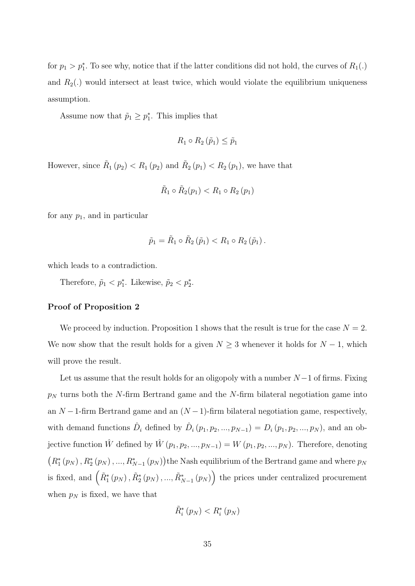for  $p_1 > p_1^*$ . To see why, notice that if the latter conditions did not hold, the curves of  $R_1(.)$ and  $R_2(.)$  would intersect at least twice, which would violate the equilibrium uniqueness assumption.

Assume now that  $\tilde{p}_1 \geq p_1^*$ . This implies that

$$
R_1 \circ R_2 \left( \tilde{p}_1 \right) \leq \tilde{p}_1
$$

However, since  $\tilde{R}_1(p_2) < R_1(p_2)$  and  $\tilde{R}_2(p_1) < R_2(p_1)$ , we have that

$$
\tilde{R}_1 \circ \tilde{R}_2(p_1) < R_1 \circ R_2(p_1)
$$

for any  $p_1$ , and in particular

$$
\tilde{p}_1 = \tilde{R}_1 \circ \tilde{R}_2 \left( \tilde{p}_1 \right) < R_1 \circ R_2 \left( \tilde{p}_1 \right).
$$

which leads to a contradiction.

Therefore,  $\tilde{p}_1 < p_1^*$ . Likewise,  $\tilde{p}_2 < p_2^*$ .

#### Proof of Proposition 2

We proceed by induction. Proposition 1 shows that the result is true for the case  $N = 2$ . We now show that the result holds for a given  $N \geq 3$  whenever it holds for  $N - 1$ , which will prove the result.

Let us assume that the result holds for an oligopoly with a number  $N-1$  of firms. Fixing  $p_N$  turns both the N-firm Bertrand game and the N-firm bilateral negotiation game into an  $N-1$ -firm Bertrand game and an  $(N-1)$ -firm bilateral negotiation game, respectively, with demand functions  $\hat{D}_i$  defined by  $\hat{D}_i (p_1, p_2, ..., p_{N-1}) = D_i (p_1, p_2, ..., p_N)$ , and an objective function  $\hat{W}$  defined by  $\hat{W}(p_1, p_2, ..., p_{N-1}) = W(p_1, p_2, ..., p_N)$ . Therefore, denoting  $(R_1^*(p_N), R_2^*(p_N), ..., R_{N-1}^*(p_N))$ the Nash equilibrium of the Bertrand game and where  $p_N$ is fixed, and  $(\tilde{R}_1^*(p_N), \tilde{R}_2^*(p_N), ..., \tilde{R}_{N-1}^*(p_N))$  the prices under centralized procurement when  $p_N$  is fixed, we have that

$$
\tilde{R}_{i}^{*}\left(p_{N}\right) < R_{i}^{*}\left(p_{N}\right)
$$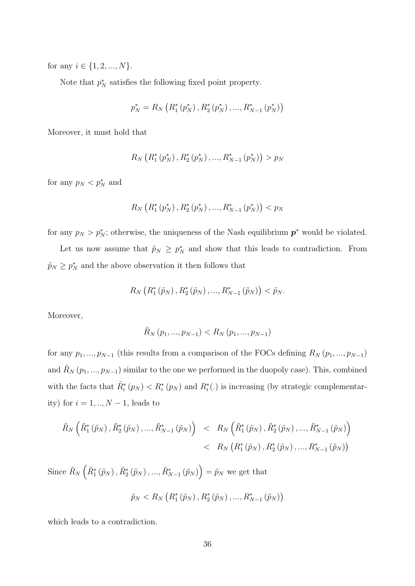for any  $i \in \{1, 2, ..., N\}$ .

Note that  $p_N^*$  satisfies the following fixed point property.

$$
p_N^* = R_N\left(R_1^*\left(p_N^*\right), R_2^*\left(p_N^*\right), ..., R_{N-1}^*\left(p_N^*\right)\right)
$$

Moreover, it must hold that

$$
R_N\left(R_1^*\left(p_N^*\right), R_2^*\left(p_N^*\right), ..., R_{N-1}^*\left(p_N^*\right)\right) > p_N
$$

for any  $p_N < p_N^*$  and

$$
R_N\left(R_1^*\left(p_N^*\right), R_2^*\left(p_N^*\right), ..., R_{N-1}^*\left(p_N^*\right)\right) < p_N
$$

for any  $p_N > p_N^*$ ; otherwise, the uniqueness of the Nash equilibrium  $p^*$  would be violated.

Let us now assume that  $\tilde{p}_N \geq p_N^*$  and show that this leads to contradiction. From  $\tilde{p}_N \geq p_N^*$  and the above observation it then follows that

$$
R_N\left(R_1^*\left(\tilde{p}_N\right),R_2^*\left(\tilde{p}_N\right),...,R_{N-1}^*\left(\tilde{p}_N\right)\right)<\tilde{p}_N.
$$

Moreover,

$$
\tilde{R}_{N}\left(p_{1},...,p_{N-1}\right) < R_{N}\left(p_{1},...,p_{N-1}\right)
$$

for any  $p_1, ..., p_{N-1}$  (this results from a comparison of the FOCs defining  $R_N(p_1, ..., p_{N-1})$ and  $\tilde{R}_N(p_1, ..., p_{N-1})$  similar to the one we performed in the duopoly case). This, combined with the facts that  $\tilde{R}_i^*(p_N) < R_i^*(p_N)$  and  $R_i^*(.)$  is increasing (by strategic complementarity) for  $i = 1, ..., N - 1$ , leads to

$$
\tilde{R}_{N}\left(\tilde{R}_{1}^{*}\left(\tilde{p}_{N}\right),\tilde{R}_{2}^{*}\left(\tilde{p}_{N}\right),...,\tilde{R}_{N-1}^{*}\left(\tilde{p}_{N}\right)\right) \leq R_{N}\left(\tilde{R}_{1}^{*}\left(\tilde{p}_{N}\right),\tilde{R}_{2}^{*}\left(\tilde{p}_{N}\right),...,\tilde{R}_{N-1}^{*}\left(\tilde{p}_{N}\right)\right) \n< R_{N}\left(R_{1}^{*}\left(\tilde{p}_{N}\right),R_{2}^{*}\left(\tilde{p}_{N}\right),...,R_{N-1}^{*}\left(\tilde{p}_{N}\right)\right)
$$

Since  $\tilde{R}_N\left(\tilde{R}_1^*(\tilde{p}_N), \tilde{R}_2^*(\tilde{p}_N),..., \tilde{R}_{N-1}^*(\tilde{p}_N)\right) = \tilde{p}_N$  we get that  $\tilde{p}_{N} < R_{N}\left(R_{1}^{*}\left(\tilde{p}_{N}\right), R_{2}^{*}\left(\tilde{p}_{N}\right),..., R_{N-1}^{*}\left(\tilde{p}_{N}\right)\right)$ 

which leads to a contradiction.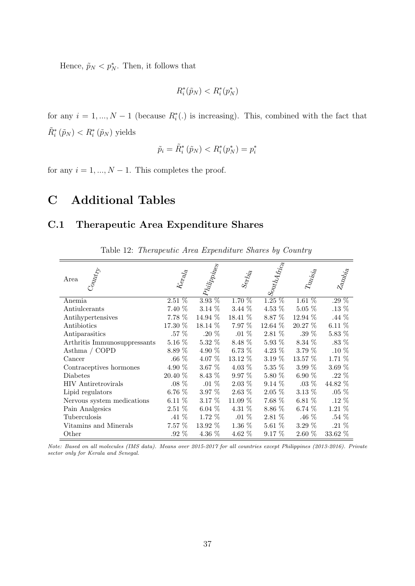Hence,  $\tilde{p}_N < p_N^*$ . Then, it follows that

$$
R_i^*(\tilde{p}_N) < R_i^*(p_N^*)
$$

for any  $i = 1, ..., N - 1$  (because  $R_i^*(.)$  is increasing). This, combined with the fact that  $\tilde{R}_{i}^{*}(\tilde{p}_{N}) < R_{i}^{*}(\tilde{p}_{N})$  yields

$$
\tilde{p}_i = \tilde{R}_i^* \left( \tilde{p}_N \right) < R_i^*(p_N^*) = p_i^*
$$

for any  $i = 1, ..., N - 1$ . This completes the proof.

## C Additional Tables

#### C.1 Therapeutic Area Expenditure Shares

| $C_{01\!\!1M_{\ell_{\rm T}\!\!/\!y}}$<br>Area | $K_{e_{RQ}}$ | $ p_{hilip_{\stackrel{\phantom{.}}{1}{P}}hj_{\epsilon_{\rm SS}}}$ | $\mathcal{S}_{\mathrm{e}_I\!f_{\!J_i\!f_{\!d}}}$ | $ \delta_{\mathrm{out}_{\mathcal{U}_{\mathcal{A}_{f_{i_{c_{a}}}}}}} $ | $T_{\mathit{U} \mathit{u}_{\mathit{S} \mathit{Y}_{\mathit{c}}}$ | $z_{a_{N_{b_{i_{a}}}}}$ |
|-----------------------------------------------|--------------|-------------------------------------------------------------------|--------------------------------------------------|-----------------------------------------------------------------------|-----------------------------------------------------------------|-------------------------|
| Anemia                                        | $2.51\%$     | $3.93\%$                                                          | 1.70 %                                           | $1.25\%$                                                              | 1.61%                                                           | .29 $%$                 |
| Antiulcerants                                 | 7.40 %       | $3.14\%$                                                          | $3.44\%$                                         | 4.53 $%$                                                              | $5.05\%$                                                        | $.13\%$                 |
| Antihypertensives                             | 7.78 %       | 14.94 %                                                           | 18.41 %                                          | 8.87 %                                                                | 12.94 %                                                         | $.44\%$                 |
| Antibiotics                                   | 17.30 %      | 18.14 %                                                           | $7.97\%$                                         | $12.64\%$                                                             | $20.27\%$                                                       | $6.11\%$                |
| Antiparasitics                                | $.57\%$      | .20 $%$                                                           | $.01\%$                                          | 2.81 %                                                                | .39 $%$                                                         | 5.83 %                  |
| Arthritis Immunosuppressants                  | $5.16\%$     | $5.32\%$                                                          | 8.48 %                                           | $5.93\%$                                                              | 8.34 %                                                          | .83 $%$                 |
| Asthma / $\operatorname{COPD}$                | 8.89 %       | 4.90 %                                                            | 6.73%                                            | 4.23 $%$                                                              | 3.79 %                                                          | $.10\%$                 |
| Cancer                                        | .66 $%$      | 4.07 %                                                            | 13.12 %                                          | 3.19 %                                                                | 13.57 %                                                         | 1.71 %                  |
| Contraceptives hormones                       | 4.90 %       | $3.67\%$                                                          | 4.03 $%$                                         | $5.35\%$                                                              | 3.99 $%$                                                        | 3.69 $%$                |
| Diabetes                                      | 20.40 %      | 8.43 %                                                            | $9.97\%$                                         | 5.80 %                                                                | 6.90 $%$                                                        | .22 $%$                 |
| <b>HIV</b> Antiretrovirals                    | $.08\%$      | $.01\%$                                                           | $2.03\%$                                         | $9.14\%$                                                              | $.03\%$                                                         | 44.82 %                 |
| Lipid regulators                              | 6.76 $%$     | $3.97\%$                                                          | $2.63\%$                                         | $2.05\%$                                                              | $3.13\%$                                                        | $.05\%$                 |
| Nervous system medications                    | $6.11\%$     | 3.17 %                                                            | 11.09 %                                          | 7.68 %                                                                | 6.81 $%$                                                        | $.12\%$                 |
| Pain Analgesics                               | $2.51\%$     | 6.04 $%$                                                          | 4.31 $%$                                         | 8.86 %                                                                | 6.74 $%$                                                        | $1.21\%$                |
| Tuberculosis                                  | .41 $%$      | $1.72\%$                                                          | $.01\%$                                          | 2.81 %                                                                | .46 %                                                           | $.54\%$                 |
| Vitamins and Minerals                         | $7.57\%$     | $13.92\%$                                                         | $1.36\%$                                         | $5.61\%$                                                              | $3.29\%$                                                        | $.21\%$                 |
| Other                                         | $.92\%$      | 4.36 %                                                            | 4.62 %                                           | $9.17\%$                                                              | $2.60\%$                                                        | 33.62 %                 |

Table 12: Therapeutic Area Expenditure Shares by Country

Note: Based on all molecules (IMS data). Means over 2015-2017 for all countries except Philippines (2013-2016). Private sector only for Kerala and Senegal.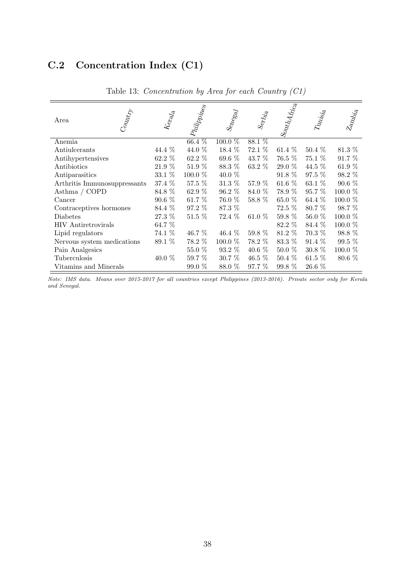## C.2 Concentration Index (C1)

| Area                           | $C_{01\!\!1M\ell_{\rm Ty}}$ | $k_{\mathrm{e}_{\mathrm{R}}d_{\mathrm{d}}}$ | $ p_{lilij}$ | $S_{^{6}\!P_{^{6}\!S_{^{6}\!d}}}$ | $\mathcal{S}_{\mathrm{e}_7\!f_{2\!f_{\mathrm{e}_3}}}$ | $\left  S_{\text{O}_{\text{U}} \text{U}_\text{A} A_{\text{Ric}_\text{B}}} \right $ | $T_{4n_{\tilde{S}_{\tilde{I}\tilde{e}}}}$ | $z_{a_{N_{b_{i_{a}}}}}$ |
|--------------------------------|-----------------------------|---------------------------------------------|--------------|-----------------------------------|-------------------------------------------------------|------------------------------------------------------------------------------------|-------------------------------------------|-------------------------|
| Anemia                         |                             |                                             | $66.4\%$     | $100.0\%$                         | $88.1\%$                                              |                                                                                    |                                           |                         |
| Antiulcerants                  |                             | 44.4 %                                      | 44.0 %       | 18.4 %                            | 72.1 %                                                | 61.4 %                                                                             | $50.4\%$                                  | $81.3~\%$               |
| Antihypertensives              |                             | 62.2 %                                      | 62.2 %       | 69.6 %                            | 43.7 %                                                | 76.5 %                                                                             | 75.1 %                                    | 91.7 %                  |
| Antibiotics                    |                             | $21.9~\%$                                   | $51.9\%$     | 88.3 %                            | $63.2\%$                                              | 29.0 %                                                                             | 44.5 %                                    | 61.9 %                  |
| Antiparasitics                 |                             | $33.1~\%$                                   | 100.0 %      | 40.0 %                            |                                                       | 91.8 %                                                                             | 97.5 %                                    | 98.2 %                  |
| Arthritis Immunosuppressants   |                             | 37.4 %                                      | 57.5 %       | 31.3 %                            | 57.9 %                                                | 61.6 $%$                                                                           | 63.1 $%$                                  | $90.6\%$                |
| Asthma / $\operatorname{COPD}$ |                             | 84.8 %                                      | 62.9 %       | 96.2 %                            | 84.0 %                                                | 78.9 %                                                                             | $95.7\%$                                  | $100.0\%$               |
| Cancer                         |                             | $90.6\%$                                    | 61.7 %       | 76.0 %                            | 58.8 %                                                | 65.0 %                                                                             | 64.4 $%$                                  | 100.0 %                 |
| Contraceptives hormones        |                             | 84.4 %                                      | 97.2 %       | 87.3 %                            |                                                       | $72.5\%$                                                                           | 80.7 %                                    | 98.7 %                  |
| Diabetes                       |                             | 27.3 %                                      | $51.5\%$     | 72.4 %                            | 61.0 %                                                | 59.8 %                                                                             | 56.0 %                                    | 100.0 %                 |
| <b>HIV</b> Antiretrovirals     |                             | 64.7 %                                      |              |                                   |                                                       | 82.2 %                                                                             | 84.4 %                                    | 100.0 %                 |
| Lipid regulators               |                             | 74.1 %                                      | 46.7 %       | 46.4 %                            | 59.8 %                                                | 81.2 %                                                                             | $70.3\%$                                  | $98.8\%$                |
| Nervous system medications     |                             | 89.1 %                                      | 78.2 %       | $100.0~\%$                        | 78.2 %                                                | 83.3 %                                                                             | $91.4\%$                                  | 99.5 %                  |
| Pain Analgesics                |                             |                                             | $55.0~\%$    | 93.2 %                            | 40.6 %                                                | $50.0\%$                                                                           | $30.8\%$                                  | 100.0 %                 |
| Tuberculosis                   |                             | 40.0 %                                      | 59.7 %       | 30.7 %                            | $46.5\%$                                              | $50.4\%$                                                                           | $61.5\%$                                  | $80.6\%$                |
| Vitamins and Minerals          |                             |                                             | 99.0 %       | 88.0 %                            | 97.7 %                                                | $99.8\%$                                                                           | 26.6 %                                    |                         |

Table 13: Concentration by Area for each Country (C1)

Note: IMS data. Means over 2015-2017 for all countries except Philippines (2013-2016). Private sector only for Kerala and Senegal.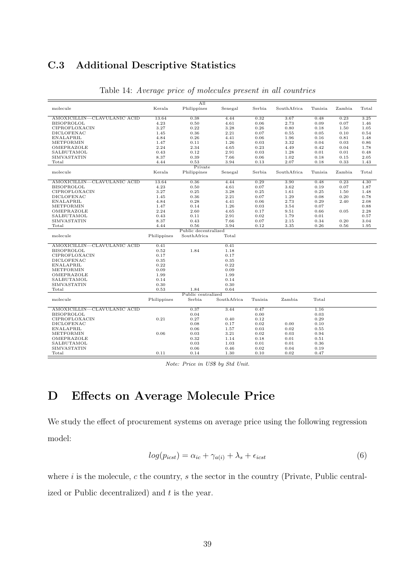## C.3 Additional Descriptive Statistics

|                             |             | A11                  |             |         |             |         |        |       |
|-----------------------------|-------------|----------------------|-------------|---------|-------------|---------|--------|-------|
| molecule                    | Kerala      | Philippines          | Senegal     | Serbia  | SouthAfrica | Tunisia | Zambia | Total |
| AMOXICILLIN-CLAVULANIC ACID | 13.64       | 0.38                 | 4.44        | 0.32    | 3.67        | 0.48    | 0.23   | 3.25  |
| <b>BISOPROLOL</b>           | 4.23        | 0.50                 | 4.61        | 0.06    | 2.73        | 0.09    | 0.07   | 1.46  |
|                             |             |                      |             |         |             |         |        |       |
| CIPROFLOXACIN               | 3.27        | 0.22                 | 3.28        | 0.26    | 0.80        | 0.18    | 1.50   | 1.05  |
| DICLOFENAC                  | 1.45        | 0.36                 | 2.21        | 0.07    | 0.55        | 0.05    | 0.10   | 0.54  |
| <b>ENALAPRIL</b>            | 4.84        | 0.26                 | 4.41        | 0.06    | 1.96        | 0.16    | 0.81   | 1.48  |
| METFORMIN                   | 1.47        | 0.11                 | 1.26        | 0.03    | 3.32        | 0.04    | 0.03   | 0.86  |
| OMEPRAZOLE                  | 2.24        | 2.34                 | 4.65        | 0.23    | 4.49        | 0.42    | 0.04   | 1.78  |
| SALBUTAMOL                  | 0.43        | 0.12                 | 2.91        | 0.03    | 1.28        | 0.01    | 0.01   | 0.48  |
| SIMVASTATIN                 | 8.37        | 0.39                 | 7.66        | 0.06    | 1.02        | 0.18    | 0.15   | 2.05  |
| Total                       | 4.44        | 0.53                 | 3.94        | 0.13    | 2.07        | 0.18    | 0.33   | 1.43  |
|                             |             | Private              |             |         |             |         |        |       |
| molecule                    | Kerala      | Philippines          | Senegal     | Serbia  | SouthAfrica | Tunisia | Zambia | Total |
| AMOXICILLIN-CLAVULANIC ACID | 13.64       | 0.36                 | 4.44        | 0.29    | 3.90        | 0.48    | 0.23   | 4.30  |
| <b>BISOPROLOL</b>           | 4.23        | 0.50                 | 4.61        | 0.07    | 3.62        | 0.19    | 0.07   | 1.87  |
| CIPROFLOXACIN               | 3.27        | 0.25                 | 3.28        | 0.25    | 1.61        | 0.25    | 1.50   | 1.48  |
| <b>DICLOFENAC</b>           | 1.45        | 0.36                 | 2.21        | 0.07    | 1.29        | 0.08    | 0.20   | 0.78  |
| ENALAPRIL                   | 4.84        | 0.28                 | 4.41        | 0.06    | 2.73        | 0.29    | 2.40   | 2.08  |
| METFORMIN                   | 1.47        | 0.14                 | 1.26        | 0.03    | 3.54        | 0.07    |        | 0.88  |
| OMEPRAZOLE                  | 2.24        | 2.60                 | 4.65        | 0.17    | 9.51        | 0.66    | 0.05   | 2.28  |
| SALBUTAMOL                  | 0.43        | 0.11                 | 2.91        | 0.02    | 1.79        | 0.01    |        | 0.57  |
| SIMVASTATIN                 | 8.37        | 0.43                 | 7.66        | 0.07    | 2.15        | 0.34    | 0.20   | 3.04  |
| Total                       | 4.44        | 0.56                 | 3.94        | 0.12    | 3.35        | 0.26    | 0.56   | 1.95  |
|                             |             | Public decentralized |             |         |             |         |        |       |
| molecule                    | Philippines | SouthAfrica          | Total       |         |             |         |        |       |
| AMOXICILLIN-CLAVULANIC ACID | 0.41        |                      | 0.41        |         |             |         |        |       |
| <b>BISOPROLOL</b>           | 0.52        | 1.84                 | 1.18        |         |             |         |        |       |
| CIPROFLOXACIN               | 0.17        |                      | 0.17        |         |             |         |        |       |
| DICLOFENAC                  | 0.35        |                      | 0.35        |         |             |         |        |       |
| ENALAPRIL                   | 0.22        |                      | 0.22        |         |             |         |        |       |
| METFORMIN                   | 0.09        |                      | 0.09        |         |             |         |        |       |
| OMEPRAZOLE                  | 1.99        |                      | 1.99        |         |             |         |        |       |
| SALBUTAMOL                  | 0.14        |                      | 0.14        |         |             |         |        |       |
| SIMVASTATIN                 | 0.30        |                      | 0.30        |         |             |         |        |       |
| Total                       | 0.53        | 1.84                 | 0.64        |         |             |         |        |       |
|                             |             | Public centralized   |             |         |             |         |        |       |
| molecule                    | Philippines | Serbia               | SouthAfrica | Tunisia | Zambia      | Total   |        |       |
| AMOXICILLIN-CLAVULANIC ACID |             | 0.37                 | 3.44        | 0.47    |             | 1.16    |        |       |
| <b>BISOPROLOL</b>           |             | 0.04                 |             | 0.00    |             | 0.03    |        |       |
| CIPROFLOXACIN               | 0.21        | 0.27                 | 0.40        | 0.12    |             | 0.29    |        |       |
| DICLOFENAC                  |             | 0.08                 | 0.17        | 0.02    | 0.00        | 0.10    |        |       |
| ENALAPRIL                   |             | 0.06                 | 1.57        | 0.03    | 0.02        | 0.55    |        |       |
| METFORMIN                   | 0.06        | 0.03                 | 3.21        | 0.02    | 0.03        | 0.94    |        |       |
| OMEPRAZOLE                  |             | 0.32                 | 1.14        | 0.18    | 0.01        | 0.51    |        |       |
| SALBUTAMOL                  |             | 0.03                 | 1.03        | 0.01    | 0.01        | 0.36    |        |       |
| SIMVASTATIN                 |             | 0.06                 | 0.46        | 0.02    | 0.04        | 0.19    |        |       |
| $_{\rm Total}$              | 0.11        | 0.14                 | 1.30        | 0.10    | 0.02        | 0.47    |        |       |

#### Table 14: Average price of molecules present in all countries

Note: Price in US\$ by Std Unit.

## D Effects on Average Molecule Price

We study the effect of procurement systems on average price using the following regression model:

$$
log(p_{icst}) = \alpha_{ic} + \gamma_{a(i)} + \lambda_s + \epsilon_{icst}
$$
\n<sup>(6)</sup>

where  $i$  is the molecule,  $c$  the country,  $s$  the sector in the country (Private, Public centralized or Public decentralized) and  $t$  is the year.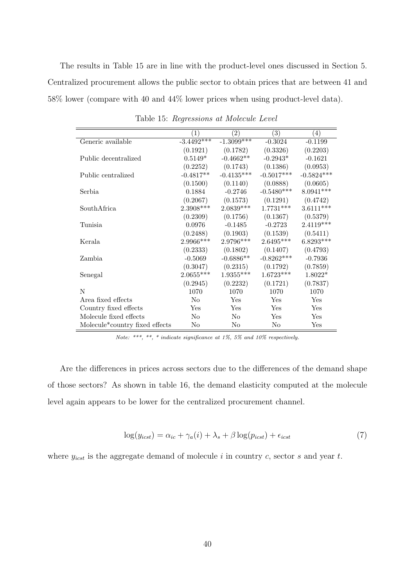The results in Table 15 are in line with the product-level ones discussed in Section 5. Centralized procurement allows the public sector to obtain prices that are between 41 and 58% lower (compare with 40 and 44% lower prices when using product-level data).

|                                             | $\left(1\right)$ | $\left( 2\right)$ | $\left(3\right)$      | $\left( 4\right)$ |
|---------------------------------------------|------------------|-------------------|-----------------------|-------------------|
| Generic available                           | $-3.4492***$     | $-1.3099***$      | $-0.3024$             | $-0.1199$         |
|                                             | (0.1921)         | (0.1782)          | (0.3326)              | (0.2203)          |
| Public decentralized                        | $0.5149*$        | $-0.4662**$       | $-0.2943*$            | $-0.1621$         |
|                                             | (0.2252)         | (0.1743)          | (0.1386)              | (0.0953)          |
| Public centralized                          | $-0.4817**$      | $-0.4135***$      | $-0.5017***$          | $-0.5824***$      |
|                                             | (0.1500)         | (0.1140)          | (0.0888)              | (0.0605)          |
| Serbia                                      | 0.1884           | $-0.2746$         | $-0.5480***$          | $8.0941***$       |
|                                             | (0.2067)         | (0.1573)          | (0.1291)              | (0.4742)          |
| SouthAfrica                                 | 2.3908***        | $2.0839***$       | $1.7731***$           | $3.6111***$       |
|                                             | (0.2309)         |                   | $(0.1756)$ $(0.1367)$ | (0.5379)          |
| Tunisia                                     | 0.0976           | $-0.1485$         | $-0.2723$             | 2.4119***         |
|                                             | (0.2488)         |                   | $(0.1903)$ $(0.1539)$ | (0.5411)          |
| Kerala                                      | 2.9966***        | 2.9796***         | $2.6495***$           | $6.8293***$       |
|                                             | (0.2333)         | (0.1802)          | (0.1407)              | (0.4793)          |
| Zambia                                      | $-0.5069$        | $-0.6886**$       | $-0.8262***$          | $-0.7936$         |
|                                             | (0.3047)         | (0.2315)          | (0.1792)              | (0.7859)          |
| Senegal                                     | $2.0655***$      | $1.9355***$       | $1.6723***$           | $1.8022*$         |
|                                             | (0.2945)         | (0.2232)          | (0.1721)              | (0.7837)          |
| N                                           | 1070             | 1070              | 1070                  | 1070              |
| Area fixed effects                          | N <sub>o</sub>   | Yes               | Yes                   | Yes               |
| Country fixed effects                       | Yes              | Yes               | Yes                   | Yes               |
| Molecule fixed effects                      | No               | No                | Yes                   | Yes               |
| Molecule <sup>*</sup> country fixed effects | No               | N <sub>o</sub>    | No                    | Yes               |

Table 15: Regressions at Molecule Level

Note: \*\*\*, \*\*, \* indicate significance at 1%, 5% and 10% respectively.

Are the differences in prices across sectors due to the differences of the demand shape of those sectors? As shown in table 16, the demand elasticity computed at the molecule level again appears to be lower for the centralized procurement channel.

$$
\log(y_{icst}) = \alpha_{ic} + \gamma_a(i) + \lambda_s + \beta \log(p_{icst}) + \epsilon_{icst}
$$
\n<sup>(7)</sup>

where  $y_{icst}$  is the aggregate demand of molecule i in country c, sector s and year t.